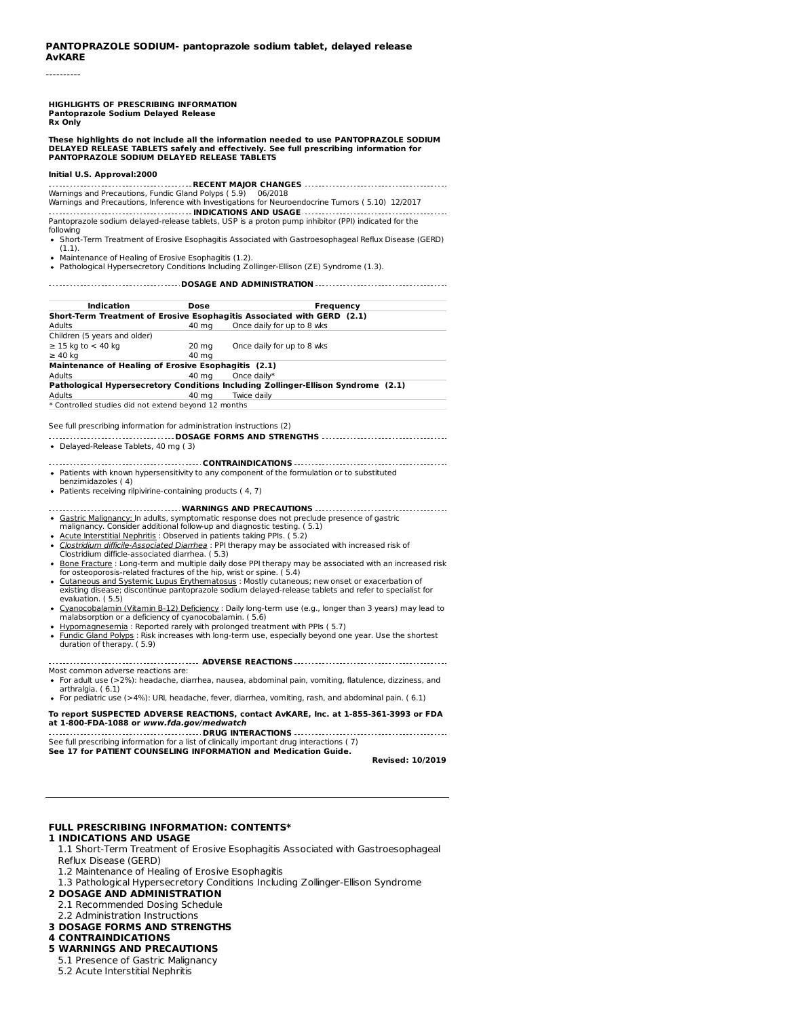----------

**HIGHLIGHTS OF PRESCRIBING INFORMATION Pantoprazole Sodium Delayed Release Rx Only**

**These highlights do not include all the information needed to use PANTOPRAZOLE SODIUM** DELAYED RELEASE TABLETS safely and effectively. See full prescribing information for<br>PANTOPRAZOLE SODIUM DELAYED RELEASE TABLETS

#### **Initial U.S. Approval:2000**

**RECENT MAJOR CHANGES** Warnings and Precautions, Fundic Gland Polyps ( 5.9) 06/2018 Warnings and Precautions, Inference with Investigations for Neuroendocrine Tumors ( 5.10) 12/2017 **INDICATIONS AND USAGE** Pantoprazole sodium delayed-release tablets, USP is a proton pump inhibitor (PPI) indicated for the following

Short-Term Treatment of Erosive Esophagitis Associated with Gastroesophageal Reflux Disease (GERD) (1.1).

- Maintenance of Healing of Erosive Esophagitis (1.2).
- Pathological Hypersecretory Conditions Including Zollinger-Ellison (ZE) Syndrome (1.3).

#### **DOSAGE AND ADMINISTRATION**

| Indication                                                                        | Dose                                                                   | Frequency                  |  |  |  |
|-----------------------------------------------------------------------------------|------------------------------------------------------------------------|----------------------------|--|--|--|
|                                                                                   | Short-Term Treatment of Erosive Esophagitis Associated with GERD (2.1) |                            |  |  |  |
| Adults                                                                            | 40 ma                                                                  | Once daily for up to 8 wks |  |  |  |
| Children (5 years and older)                                                      |                                                                        |                            |  |  |  |
| $\geq$ 15 kg to $<$ 40 kg                                                         | $20 \text{ mg}$                                                        | Once daily for up to 8 wks |  |  |  |
| $\geq 40$ kg                                                                      | 40 mg                                                                  |                            |  |  |  |
|                                                                                   | Maintenance of Healing of Erosive Esophagitis (2.1)                    |                            |  |  |  |
| Adults                                                                            | 40 ma                                                                  | Once daily*                |  |  |  |
| Pathological Hypersecretory Conditions Including Zollinger-Ellison Syndrome (2.1) |                                                                        |                            |  |  |  |
| Adults                                                                            | 40 mg                                                                  | Twice dailv                |  |  |  |
| * Controlled studies did not extend beyond 12 months                              |                                                                        |                            |  |  |  |
|                                                                                   |                                                                        |                            |  |  |  |

See full prescribing information for administration instructions (2)

**DOSAGE FORMS AND STRENGTHS** Delayed-Release Tablets, 40 mg ( 3)

- **CONTRAINDICATIONS** Patients with known hypersensitivity to any component of the formulation or to substituted benzimidazoles ( 4)
- Patients receiving rilpivirine-containing products ( 4, 7)

**WARNINGS AND PRECAUTIONS** Gastric Malignancy: In adults, symptomatic response does not preclude presence of gastric

- malignancy. Consider additional follow-up and diagnostic testing. ( 5.1) Acute Interstitial Nephritis : Observed in patients taking PPIs. ( 5.2)
- 
- Clostridium difficile-Associated Diarrhea : PPI therapy may be associated with increased risk of Clostridium difficle-associated diarrhea. ( 5.3)
- <u>Bone Fracture</u> : Long-term and multiple daily dose PPI therapy may be associated with an increased risk<br>for osteoporosis-related fractures of the hip, wrist or spine. ( 5.4)
- Cutaneous and Systemic Lupus Erythematosus : Mostly cutaneous; new onset or exacerbation of existing disease; discontinue pantoprazole sodium delayed-release tablets and refer to specialist for evaluation. ( 5.5)
- <u>Cyanocobalamin (Vitamin B-12) Deficiency</u> : Daily long-term use (e.g., longer than 3 years) may lead to<br>malabsorption or a deficiency of cyanocobalamin. ( 5.6)
- Hypomagnesemia : Reported rarely with prolonged treatment with PPIs ( 5.7)
- Fundic Gland Polyps : Risk increases with long-term use, especially beyond one year. Use the shortest duration of therapy. ( 5.9)

#### **ADVERSE REACTIONS**

- Most common adverse reactions are: For adult use (>2%): headache, diarrhea, nausea, abdominal pain, vomiting, flatulence, dizziness, and arthralgia. (6.1)
- For pediatric use (>4%): URI, headache, fever, diarrhea, vomiting, rash, and abdominal pain. ( 6.1)

**To report SUSPECTED ADVERSE REACTIONS, contact AvKARE, Inc. at 1-855-361-3993 or FDA**

**at 1-800-FDA-1088 or www.fda.gov/medwatch DRUG INTERACTIONS** 

See full prescribing information for a list of clinically important drug interactions ( 7) **See 17 for PATIENT COUNSELING INFORMATION and Medication Guide.**

**Revised: 10/2019**

### **FULL PRESCRIBING INFORMATION: CONTENTS\***

#### **1 INDICATIONS AND USAGE**

1.1 Short-Term Treatment of Erosive Esophagitis Associated with Gastroesophageal Reflux Disease (GERD)

- 1.2 Maintenance of Healing of Erosive Esophagitis
- 1.3 Pathological Hypersecretory Conditions Including Zollinger-Ellison Syndrome
- **2 DOSAGE AND ADMINISTRATION**
- 2.1 Recommended Dosing Schedule
- 2.2 Administration Instructions
- **3 DOSAGE FORMS AND STRENGTHS**

### **4 CONTRAINDICATIONS**

- **5 WARNINGS AND PRECAUTIONS**
- 5.1 Presence of Gastric Malignancy
- 5.2 Acute Interstitial Nephritis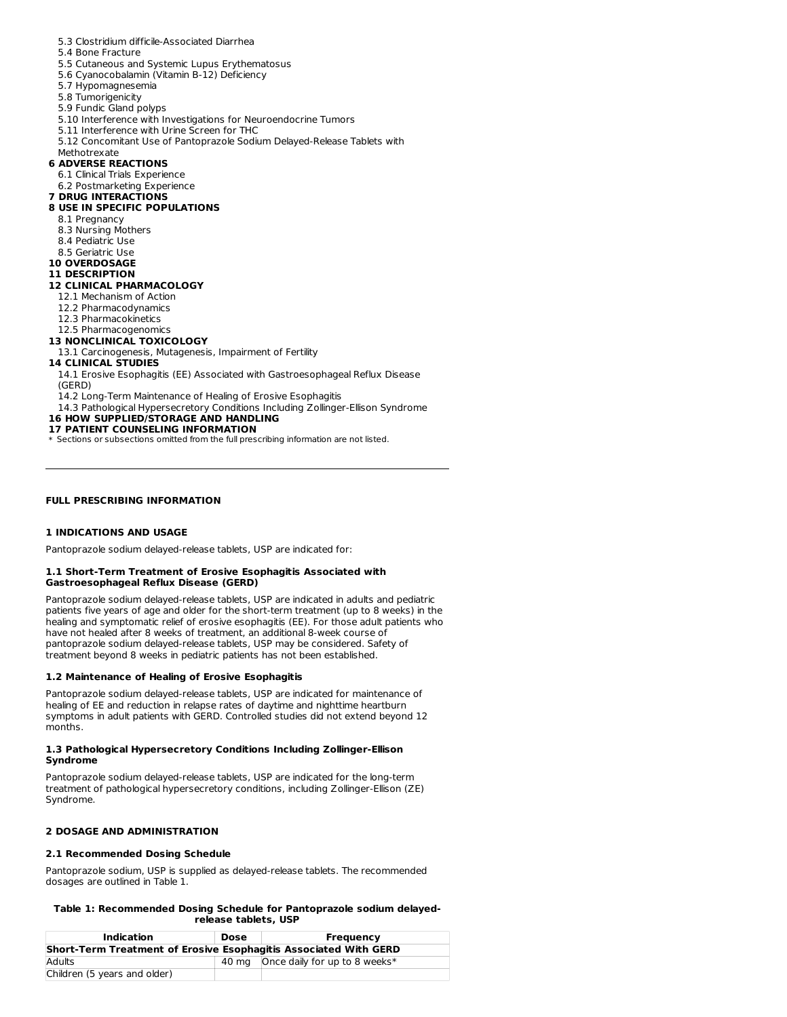- 5.3 Clostridium difficile-Associated Diarrhea
- 5.4 Bone Fracture
- 5.5 Cutaneous and Systemic Lupus Erythematosus
- 5.6 Cyanocobalamin (Vitamin B-12) Deficiency
- 5.7 Hypomagnesemia
- 5.8 Tumorigenicity
- 5.9 Fundic Gland polyps
- 5.10 Interference with Investigations for Neuroendocrine Tumors
- 5.11 Interference with Urine Screen for THC
- 5.12 Concomitant Use of Pantoprazole Sodium Delayed-Release Tablets with
- Methotrexate

### **6 ADVERSE REACTIONS**

- 6.1 Clinical Trials Experience
- 6.2 Postmarketing Experience

## **7 DRUG INTERACTIONS**

- **8 USE IN SPECIFIC POPULATIONS**
	- 8.1 Pregnancy
	- 8.3 Nursing Mothers
	- 8.4 Pediatric Use
	- 8.5 Geriatric Use
- **10 OVERDOSAGE**
- **11 DESCRIPTION**

### **12 CLINICAL PHARMACOLOGY**

- 12.1 Mechanism of Action
- 12.2 Pharmacodynamics
- 12.3 Pharmacokinetics
- 12.5 Pharmacogenomics

#### **13 NONCLINICAL TOXICOLOGY**

13.1 Carcinogenesis, Mutagenesis, Impairment of Fertility

#### **14 CLINICAL STUDIES**

14.1 Erosive Esophagitis (EE) Associated with Gastroesophageal Reflux Disease (GERD)

- 14.2 Long-Term Maintenance of Healing of Erosive Esophagitis
- 14.3 Pathological Hypersecretory Conditions Including Zollinger-Ellison Syndrome

## **16 HOW SUPPLIED/STORAGE AND HANDLING**

- **17 PATIENT COUNSELING INFORMATION**
- \* Sections or subsections omitted from the full prescribing information are not listed.

#### **FULL PRESCRIBING INFORMATION**

#### **1 INDICATIONS AND USAGE**

Pantoprazole sodium delayed-release tablets, USP are indicated for:

#### **1.1 Short-Term Treatment of Erosive Esophagitis Associated with Gastroesophageal Reflux Disease (GERD)**

Pantoprazole sodium delayed-release tablets, USP are indicated in adults and pediatric patients five years of age and older for the short-term treatment (up to 8 weeks) in the healing and symptomatic relief of erosive esophagitis (EE). For those adult patients who have not healed after 8 weeks of treatment, an additional 8-week course of pantoprazole sodium delayed-release tablets, USP may be considered. Safety of treatment beyond 8 weeks in pediatric patients has not been established.

#### **1.2 Maintenance of Healing of Erosive Esophagitis**

Pantoprazole sodium delayed-release tablets, USP are indicated for maintenance of healing of EE and reduction in relapse rates of daytime and nighttime heartburn symptoms in adult patients with GERD. Controlled studies did not extend beyond 12 months.

#### **1.3 Pathological Hypersecretory Conditions Including Zollinger-Ellison Syndrome**

Pantoprazole sodium delayed-release tablets, USP are indicated for the long-term treatment of pathological hypersecretory conditions, including Zollinger-Ellison (ZE) Syndrome.

### **2 DOSAGE AND ADMINISTRATION**

#### **2.1 Recommended Dosing Schedule**

Pantoprazole sodium, USP is supplied as delayed-release tablets. The recommended dosages are outlined in Table 1.

#### **Table 1: Recommended Dosing Schedule for Pantoprazole sodium delayedrelease tablets, USP**

| Indication                                                       | Dose | Frequency                           |  |
|------------------------------------------------------------------|------|-------------------------------------|--|
| Short-Term Treatment of Erosive Esophagitis Associated With GERD |      |                                     |  |
| Adults                                                           |      | 40 mg Once daily for up to 8 weeks* |  |
| Children (5 years and older)                                     |      |                                     |  |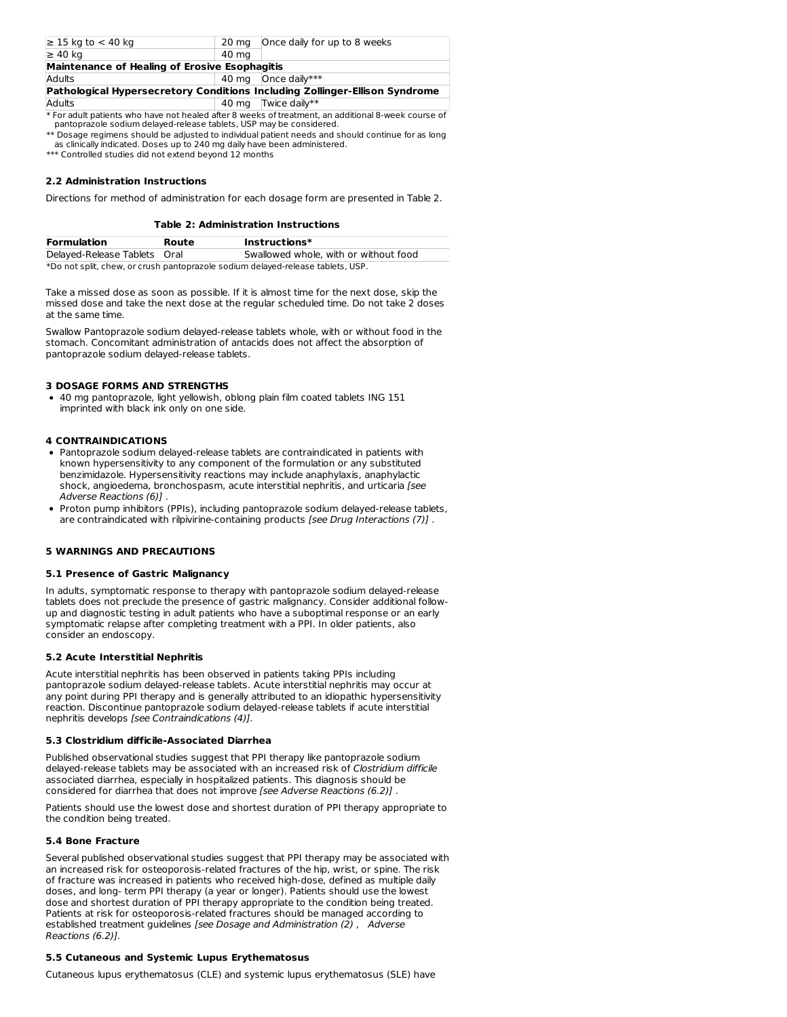| $\geq 15$ kg to $< 40$ kg                                                   | 20 ma | Once daily for up to 8 weeks |  |  |
|-----------------------------------------------------------------------------|-------|------------------------------|--|--|
| $\geq 40$ kg                                                                | 40 ma |                              |  |  |
| Maintenance of Healing of Erosive Esophagitis                               |       |                              |  |  |
| Adults                                                                      |       | 40 mg   Once daily***        |  |  |
| Pathological Hypersecretory Conditions Including Zollinger-Ellison Syndrome |       |                              |  |  |
| Adults                                                                      |       | 40 mg Twice daily**          |  |  |

\* For adult patients who have not healed after 8 weeks of treatment, an additional 8-week course of pantoprazole sodium delayed-release tablets, USP may be considered.

 $\ast\ast$  Dosage regimens should be adjusted to individual patient needs and should continue for as long as clinically indicated. Doses up to 240 mg daily have been administered.

\*\*\* Controlled studies did not extend beyond 12 months

### **2.2 Administration Instructions**

Directions for method of administration for each dosage form are presented in Table 2.

|  |  |  | Table 2: Administration Instructions |
|--|--|--|--------------------------------------|
|--|--|--|--------------------------------------|

| <b>Formulation</b>                                                              | Route | $Instructions*$                       |  |
|---------------------------------------------------------------------------------|-------|---------------------------------------|--|
| Delayed-Release Tablets Oral                                                    |       | Swallowed whole, with or without food |  |
| *Do not split, chew, or crush pantoprazole sodium delayed-release tablets, USP. |       |                                       |  |

Take a missed dose as soon as possible. If it is almost time for the next dose, skip the missed dose and take the next dose at the regular scheduled time. Do not take 2 doses at the same time.

Swallow Pantoprazole sodium delayed-release tablets whole, with or without food in the stomach. Concomitant administration of antacids does not affect the absorption of pantoprazole sodium delayed-release tablets.

#### **3 DOSAGE FORMS AND STRENGTHS**

40 mg pantoprazole, light yellowish, oblong plain film coated tablets ING 151 imprinted with black ink only on one side.

### **4 CONTRAINDICATIONS**

- Pantoprazole sodium delayed-release tablets are contraindicated in patients with known hypersensitivity to any component of the formulation or any substituted benzimidazole. Hypersensitivity reactions may include anaphylaxis, anaphylactic shock, angioedema, bronchospasm, acute interstitial nephritis, and urticaria [see Adverse Reactions (6)] .
- Proton pump inhibitors (PPIs), including pantoprazole sodium delayed-release tablets, are contraindicated with rilpivirine-containing products [see Drug Interactions (7)].

### **5 WARNINGS AND PRECAUTIONS**

### **5.1 Presence of Gastric Malignancy**

In adults, symptomatic response to therapy with pantoprazole sodium delayed-release tablets does not preclude the presence of gastric malignancy. Consider additional followup and diagnostic testing in adult patients who have a suboptimal response or an early symptomatic relapse after completing treatment with a PPI. In older patients, also consider an endoscopy.

### **5.2 Acute Interstitial Nephritis**

Acute interstitial nephritis has been observed in patients taking PPIs including pantoprazole sodium delayed-release tablets. Acute interstitial nephritis may occur at any point during PPI therapy and is generally attributed to an idiopathic hypersensitivity reaction. Discontinue pantoprazole sodium delayed-release tablets if acute interstitial nephritis develops [see Contraindications (4)].

#### **5.3 Clostridium difficile-Associated Diarrhea**

Published observational studies suggest that PPI therapy like pantoprazole sodium delayed-release tablets may be associated with an increased risk of Clostridium difficile associated diarrhea, especially in hospitalized patients. This diagnosis should be considered for diarrhea that does not improve [see Adverse Reactions (6.2)] .

Patients should use the lowest dose and shortest duration of PPI therapy appropriate to the condition being treated.

### **5.4 Bone Fracture**

Several published observational studies suggest that PPI therapy may be associated with an increased risk for osteoporosis-related fractures of the hip, wrist, or spine. The risk of fracture was increased in patients who received high-dose, defined as multiple daily doses, and long- term PPI therapy (a year or longer). Patients should use the lowest dose and shortest duration of PPI therapy appropriate to the condition being treated. Patients at risk for osteoporosis-related fractures should be managed according to established treatment guidelines [see Dosage and Administration (2) , Adverse Reactions (6.2)].

### **5.5 Cutaneous and Systemic Lupus Erythematosus**

Cutaneous lupus erythematosus (CLE) and systemic lupus erythematosus (SLE) have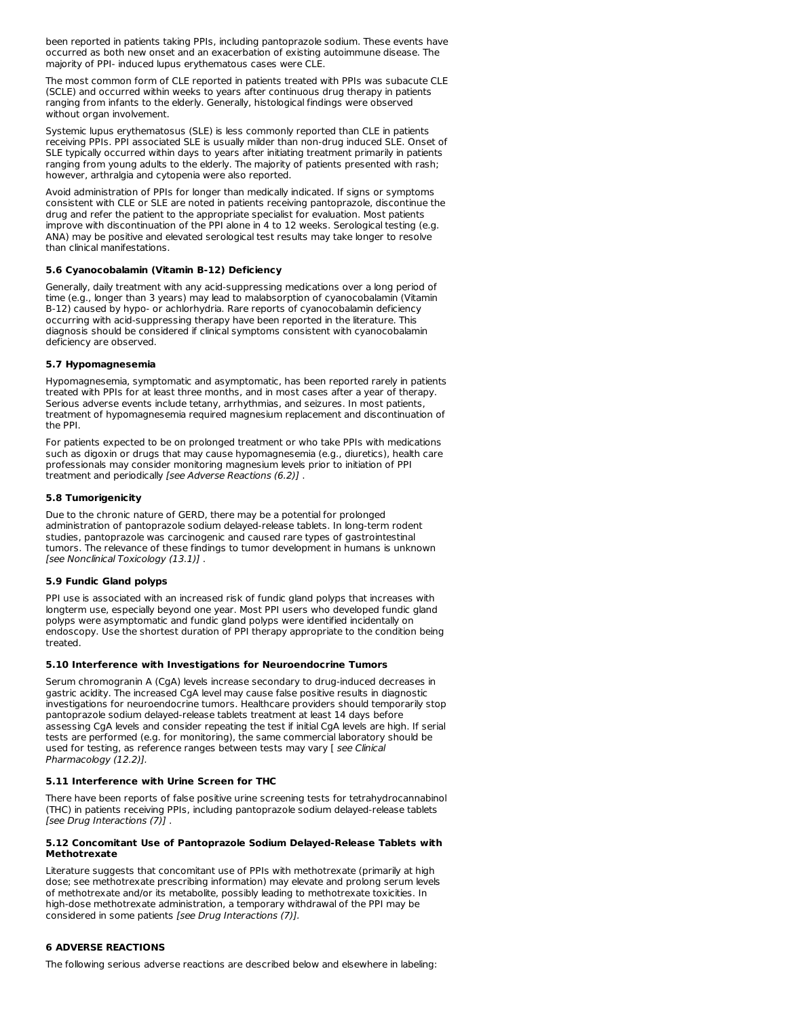been reported in patients taking PPIs, including pantoprazole sodium. These events have occurred as both new onset and an exacerbation of existing autoimmune disease. The majority of PPI- induced lupus erythematous cases were CLE.

The most common form of CLE reported in patients treated with PPIs was subacute CLE (SCLE) and occurred within weeks to years after continuous drug therapy in patients ranging from infants to the elderly. Generally, histological findings were observed without organ involvement.

Systemic lupus erythematosus (SLE) is less commonly reported than CLE in patients receiving PPIs. PPI associated SLE is usually milder than non-drug induced SLE. Onset of SLE typically occurred within days to years after initiating treatment primarily in patients ranging from young adults to the elderly. The majority of patients presented with rash; however, arthralgia and cytopenia were also reported.

Avoid administration of PPIs for longer than medically indicated. If signs or symptoms consistent with CLE or SLE are noted in patients receiving pantoprazole, discontinue the drug and refer the patient to the appropriate specialist for evaluation. Most patients improve with discontinuation of the PPI alone in 4 to 12 weeks. Serological testing (e.g. ANA) may be positive and elevated serological test results may take longer to resolve than clinical manifestations.

### **5.6 Cyanocobalamin (Vitamin B-12) Deficiency**

Generally, daily treatment with any acid-suppressing medications over a long period of time (e.g., longer than 3 years) may lead to malabsorption of cyanocobalamin (Vitamin B-12) caused by hypo- or achlorhydria. Rare reports of cyanocobalamin deficiency occurring with acid-suppressing therapy have been reported in the literature. This diagnosis should be considered if clinical symptoms consistent with cyanocobalamin deficiency are observed.

#### **5.7 Hypomagnesemia**

Hypomagnesemia, symptomatic and asymptomatic, has been reported rarely in patients treated with PPIs for at least three months, and in most cases after a year of therapy. Serious adverse events include tetany, arrhythmias, and seizures. In most patients, treatment of hypomagnesemia required magnesium replacement and discontinuation of the PPI.

For patients expected to be on prolonged treatment or who take PPIs with medications such as digoxin or drugs that may cause hypomagnesemia (e.g., diuretics), health care professionals may consider monitoring magnesium levels prior to initiation of PPI treatment and periodically [see Adverse Reactions (6.2)] .

#### **5.8 Tumorigenicity**

Due to the chronic nature of GERD, there may be a potential for prolonged administration of pantoprazole sodium delayed-release tablets. In long-term rodent studies, pantoprazole was carcinogenic and caused rare types of gastrointestinal tumors. The relevance of these findings to tumor development in humans is unknown [see Nonclinical Toxicology (13.1)].

#### **5.9 Fundic Gland polyps**

PPI use is associated with an increased risk of fundic gland polyps that increases with longterm use, especially beyond one year. Most PPI users who developed fundic gland polyps were asymptomatic and fundic gland polyps were identified incidentally on endoscopy. Use the shortest duration of PPI therapy appropriate to the condition being treated.

#### **5.10 Interference with Investigations for Neuroendocrine Tumors**

Serum chromogranin A (CgA) levels increase secondary to drug-induced decreases in gastric acidity. The increased CgA level may cause false positive results in diagnostic investigations for neuroendocrine tumors. Healthcare providers should temporarily stop pantoprazole sodium delayed-release tablets treatment at least 14 days before assessing CgA levels and consider repeating the test if initial CgA levels are high. If serial tests are performed (e.g. for monitoring), the same commercial laboratory should be used for testing, as reference ranges between tests may vary [ see Clinical Pharmacology (12.2)].

### **5.11 Interference with Urine Screen for THC**

There have been reports of false positive urine screening tests for tetrahydrocannabinol (THC) in patients receiving PPIs, including pantoprazole sodium delayed-release tablets [see Drug Interactions (7)].

#### **5.12 Concomitant Use of Pantoprazole Sodium Delayed-Release Tablets with Methotrexate**

Literature suggests that concomitant use of PPIs with methotrexate (primarily at high dose; see methotrexate prescribing information) may elevate and prolong serum levels of methotrexate and/or its metabolite, possibly leading to methotrexate toxicities. In high-dose methotrexate administration, a temporary withdrawal of the PPI may be considered in some patients [see Drug Interactions (7)].

### **6 ADVERSE REACTIONS**

The following serious adverse reactions are described below and elsewhere in labeling: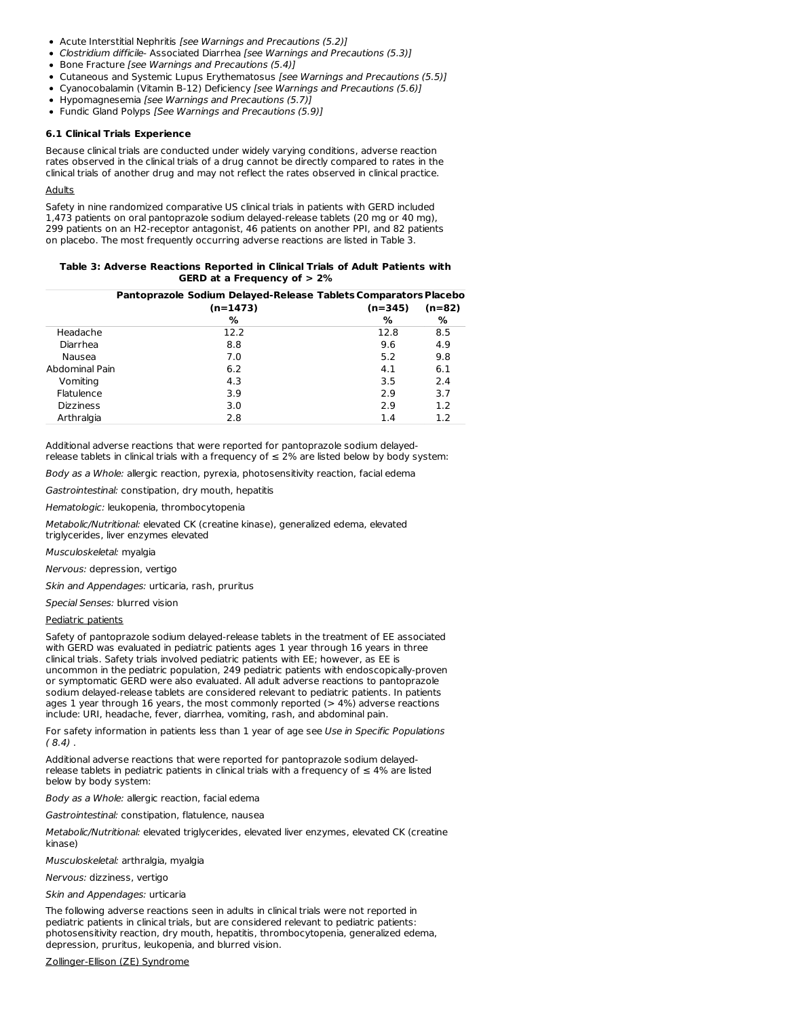- Acute Interstitial Nephritis [see Warnings and Precautions (5.2)]
- Clostridium difficile- Associated Diarrhea [see Warnings and Precautions (5.3)]
- Bone Fracture [see Warnings and Precautions (5.4)]
- Cutaneous and Systemic Lupus Erythematosus [see Warnings and Precautions (5.5)]
- Cyanocobalamin (Vitamin B-12) Deficiency [see Warnings and Precautions (5.6)]
- Hypomagnesemia [see Warnings and Precautions (5.7)]
- Fundic Gland Polyps [See Warnings and Precautions (5.9)]

#### **6.1 Clinical Trials Experience**

Because clinical trials are conducted under widely varying conditions, adverse reaction rates observed in the clinical trials of a drug cannot be directly compared to rates in the clinical trials of another drug and may not reflect the rates observed in clinical practice.

#### Adults

Safety in nine randomized comparative US clinical trials in patients with GERD included 1,473 patients on oral pantoprazole sodium delayed-release tablets (20 mg or 40 mg), 299 patients on an H2-receptor antagonist, 46 patients on another PPI, and 82 patients on placebo. The most frequently occurring adverse reactions are listed in Table 3.

| Table 3: Adverse Reactions Reported in Clinical Trials of Adult Patients with |  |  |  |  |
|-------------------------------------------------------------------------------|--|--|--|--|
| GERD at a Frequency of $> 2\%$                                                |  |  |  |  |

|                  | Pantoprazole Sodium Delayed-Release Tablets Comparators Placebo |           |          |
|------------------|-----------------------------------------------------------------|-----------|----------|
|                  | $(n=1473)$                                                      | $(n=345)$ | $(n=82)$ |
|                  | %                                                               | %         | %        |
| Headache         | 12.2                                                            | 12.8      | 8.5      |
| Diarrhea         | 8.8                                                             | 9.6       | 4.9      |
| Nausea           | 7.0                                                             | 5.2       | 9.8      |
| Abdominal Pain   | 6.2                                                             | 4.1       | 6.1      |
| Vomiting         | 4.3                                                             | 3.5       | 2.4      |
| Flatulence       | 3.9                                                             | 2.9       | 3.7      |
| <b>Dizziness</b> | 3.0                                                             | 2.9       | 1.2      |
| Arthralgia       | 2.8                                                             | 1.4       | 1.2      |

Additional adverse reactions that were reported for pantoprazole sodium delayedrelease tablets in clinical trials with a frequency of  $\leq$  2% are listed below by body system:

Body as a Whole: allergic reaction, pyrexia, photosensitivity reaction, facial edema

Gastrointestinal: constipation, dry mouth, hepatitis

Hematologic: leukopenia, thrombocytopenia

Metabolic/Nutritional: elevated CK (creatine kinase), generalized edema, elevated triglycerides, liver enzymes elevated

Musculoskeletal: myalgia

Nervous: depression, vertigo

Skin and Appendages: urticaria, rash, pruritus

Special Senses: blurred vision

#### Pediatric patients

Safety of pantoprazole sodium delayed-release tablets in the treatment of EE associated with GERD was evaluated in pediatric patients ages 1 year through 16 years in three clinical trials. Safety trials involved pediatric patients with EE; however, as EE is uncommon in the pediatric population, 249 pediatric patients with endoscopically-proven or symptomatic GERD were also evaluated. All adult adverse reactions to pantoprazole sodium delayed-release tablets are considered relevant to pediatric patients. In patients ages 1 year through 16 years, the most commonly reported (> 4%) adverse reactions include: URI, headache, fever, diarrhea, vomiting, rash, and abdominal pain.

For safety information in patients less than 1 year of age see Use in Specific Populations  $(8.4)$ .

Additional adverse reactions that were reported for pantoprazole sodium delayedrelease tablets in pediatric patients in clinical trials with a frequency of  $≤ 4%$  are listed below by body system:

Body as a Whole: allergic reaction, facial edema

Gastrointestinal: constipation, flatulence, nausea

Metabolic/Nutritional: elevated triglycerides, elevated liver enzymes, elevated CK (creatine kinase)

Musculoskeletal: arthralgia, myalgia

Nervous: dizziness, vertigo

Skin and Appendages: urticaria

The following adverse reactions seen in adults in clinical trials were not reported in pediatric patients in clinical trials, but are considered relevant to pediatric patients: photosensitivity reaction, dry mouth, hepatitis, thrombocytopenia, generalized edema, depression, pruritus, leukopenia, and blurred vision.

Zollinger-Ellison (ZE) Syndrome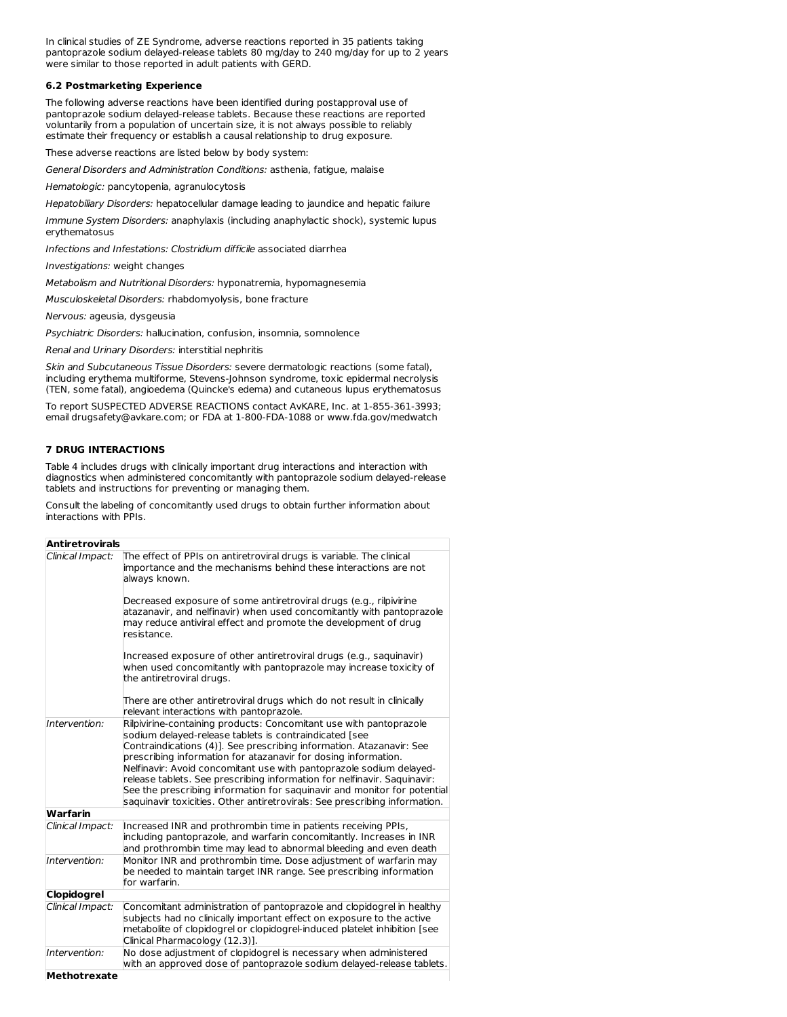In clinical studies of ZE Syndrome, adverse reactions reported in 35 patients taking pantoprazole sodium delayed-release tablets 80 mg/day to 240 mg/day for up to 2 years were similar to those reported in adult patients with GERD.

### **6.2 Postmarketing Experience**

The following adverse reactions have been identified during postapproval use of pantoprazole sodium delayed-release tablets. Because these reactions are reported voluntarily from a population of uncertain size, it is not always possible to reliably estimate their frequency or establish a causal relationship to drug exposure.

These adverse reactions are listed below by body system:

General Disorders and Administration Conditions: asthenia, fatigue, malaise

Hematologic: pancytopenia, agranulocytosis

Hepatobiliary Disorders: hepatocellular damage leading to jaundice and hepatic failure

Immune System Disorders: anaphylaxis (including anaphylactic shock), systemic lupus erythematosus

Infections and Infestations: Clostridium difficile associated diarrhea

Investigations: weight changes

Metabolism and Nutritional Disorders: hyponatremia, hypomagnesemia

Musculoskeletal Disorders: rhabdomyolysis, bone fracture

Nervous: ageusia, dysgeusia

Psychiatric Disorders: hallucination, confusion, insomnia, somnolence

Renal and Urinary Disorders: interstitial nephritis

Skin and Subcutaneous Tissue Disorders: severe dermatologic reactions (some fatal), including erythema multiforme, Stevens-Johnson syndrome, toxic epidermal necrolysis (TEN, some fatal), angioedema (Quincke's edema) and cutaneous lupus erythematosus

To report SUSPECTED ADVERSE REACTIONS contact AvKARE, Inc. at 1-855-361-3993; email drugsafety@avkare.com; or FDA at 1-800-FDA-1088 or www.fda.gov/medwatch

### **7 DRUG INTERACTIONS**

Table 4 includes drugs with clinically important drug interactions and interaction with diagnostics when administered concomitantly with pantoprazole sodium delayed-release tablets and instructions for preventing or managing them.

Consult the labeling of concomitantly used drugs to obtain further information about interactions with PPIs.

| <b>Antiretrovirals</b>        |                                                                                                                                                                                                                                                                                                                                                                                                                                                                                                                                                                                     |
|-------------------------------|-------------------------------------------------------------------------------------------------------------------------------------------------------------------------------------------------------------------------------------------------------------------------------------------------------------------------------------------------------------------------------------------------------------------------------------------------------------------------------------------------------------------------------------------------------------------------------------|
| Clinical Impact:              | The effect of PPIs on antiretroviral drugs is variable. The clinical<br>importance and the mechanisms behind these interactions are not<br>always known.<br>Decreased exposure of some antiretroviral drugs (e.g., rilpivirine<br>atazanavir, and nelfinavir) when used concomitantly with pantoprazole                                                                                                                                                                                                                                                                             |
|                               | may reduce antiviral effect and promote the development of drug<br>resistance.                                                                                                                                                                                                                                                                                                                                                                                                                                                                                                      |
|                               | Increased exposure of other antiretroviral drugs (e.g., saguinavir)<br>when used concomitantly with pantoprazole may increase toxicity of<br>the antiretroviral drugs.                                                                                                                                                                                                                                                                                                                                                                                                              |
|                               | There are other antiretroviral drugs which do not result in clinically<br>relevant interactions with pantoprazole.                                                                                                                                                                                                                                                                                                                                                                                                                                                                  |
| Intervention:                 | Rilpivirine-containing products: Concomitant use with pantoprazole<br>sodium delayed-release tablets is contraindicated [see<br>Contraindications (4)]. See prescribing information. Atazanavir: See<br>prescribing information for atazanavir for dosing information.<br>Nelfinavir: Avoid concomitant use with pantoprazole sodium delayed-<br>release tablets. See prescribing information for nelfinavir. Saquinavir:<br>See the prescribing information for saguinavir and monitor for potential<br>saguinavir toxicities. Other antiretrovirals: See prescribing information. |
| <b>Warfarin</b>               |                                                                                                                                                                                                                                                                                                                                                                                                                                                                                                                                                                                     |
| Clinical Impact:              | Increased INR and prothrombin time in patients receiving PPIs,<br>including pantoprazole, and warfarin concomitantly. Increases in INR<br>and prothrombin time may lead to abnormal bleeding and even death                                                                                                                                                                                                                                                                                                                                                                         |
| Intervention:                 | Monitor INR and prothrombin time. Dose adjustment of warfarin may<br>be needed to maintain target INR range. See prescribing information<br>for warfarin.                                                                                                                                                                                                                                                                                                                                                                                                                           |
| <b>Clopidogrel</b>            |                                                                                                                                                                                                                                                                                                                                                                                                                                                                                                                                                                                     |
| Clinical Impact:              | Concomitant administration of pantoprazole and clopidogrel in healthy<br>subjects had no clinically important effect on exposure to the active<br>metabolite of clopidogrel or clopidogrel-induced platelet inhibition [see<br>Clinical Pharmacology (12.3)].                                                                                                                                                                                                                                                                                                                       |
| Intervention:<br>Methotrexate | No dose adjustment of clopidogrel is necessary when administered<br>with an approved dose of pantoprazole sodium delayed-release tablets.                                                                                                                                                                                                                                                                                                                                                                                                                                           |
|                               |                                                                                                                                                                                                                                                                                                                                                                                                                                                                                                                                                                                     |

**Methotrexate**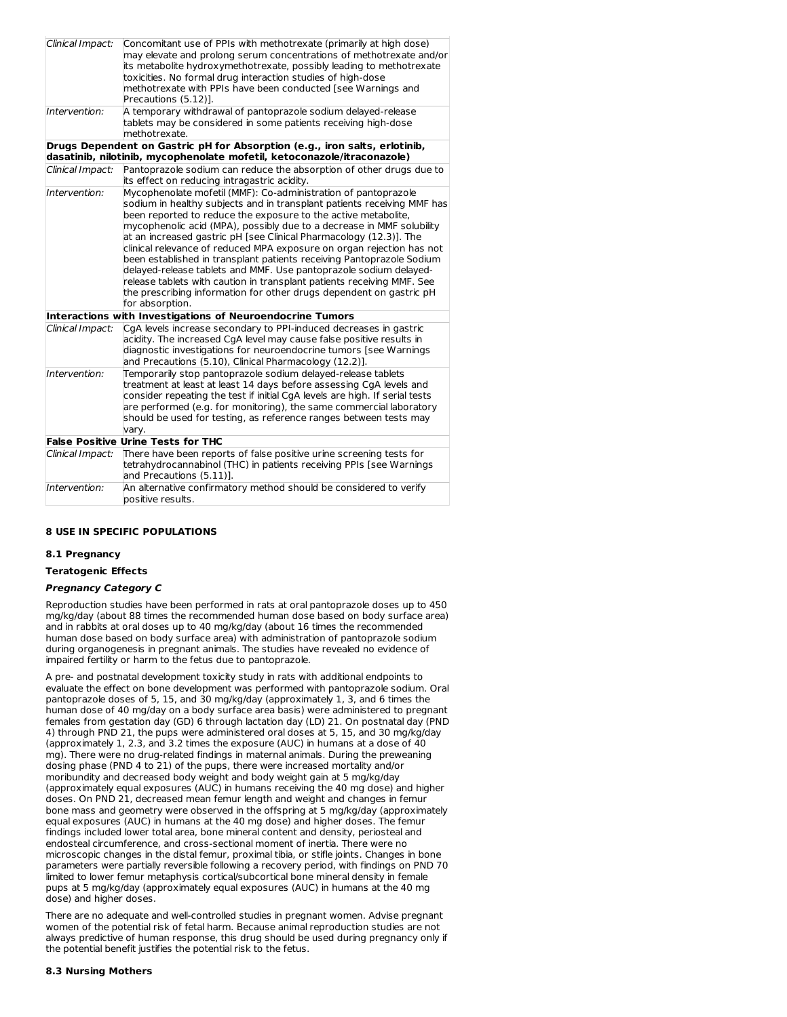| Clinical Impact: | Concomitant use of PPIs with methotrexate (primarily at high dose)<br>may elevate and prolong serum concentrations of methotrexate and/or<br>its metabolite hydroxymethotrexate, possibly leading to methotrexate<br>toxicities. No formal drug interaction studies of high-dose<br>methotrexate with PPIs have been conducted [see Warnings and<br>Precautions (5.12)].                                                                                                                                                                                                                                                                                                                                                                              |
|------------------|-------------------------------------------------------------------------------------------------------------------------------------------------------------------------------------------------------------------------------------------------------------------------------------------------------------------------------------------------------------------------------------------------------------------------------------------------------------------------------------------------------------------------------------------------------------------------------------------------------------------------------------------------------------------------------------------------------------------------------------------------------|
| Intervention:    | A temporary withdrawal of pantoprazole sodium delayed-release<br>tablets may be considered in some patients receiving high-dose<br>methotrexate.                                                                                                                                                                                                                                                                                                                                                                                                                                                                                                                                                                                                      |
|                  | Drugs Dependent on Gastric pH for Absorption (e.g., iron salts, erlotinib,<br>dasatinib, nilotinib, mycophenolate mofetil, ketoconazole/itraconazole)                                                                                                                                                                                                                                                                                                                                                                                                                                                                                                                                                                                                 |
| Clinical Impact: | Pantoprazole sodium can reduce the absorption of other drugs due to<br>its effect on reducing intragastric acidity.                                                                                                                                                                                                                                                                                                                                                                                                                                                                                                                                                                                                                                   |
| Intervention:    | Mycophenolate mofetil (MMF): Co-administration of pantoprazole<br>sodium in healthy subjects and in transplant patients receiving MMF has<br>been reported to reduce the exposure to the active metabolite,<br>mycophenolic acid (MPA), possibly due to a decrease in MMF solubility<br>at an increased gastric pH [see Clinical Pharmacology (12.3)]. The<br>clinical relevance of reduced MPA exposure on organ rejection has not<br>been established in transplant patients receiving Pantoprazole Sodium<br>delayed-release tablets and MMF. Use pantoprazole sodium delayed-<br>release tablets with caution in transplant patients receiving MMF. See<br>the prescribing information for other drugs dependent on gastric pH<br>for absorption. |
|                  | <b>Interactions with Investigations of Neuroendocrine Tumors</b>                                                                                                                                                                                                                                                                                                                                                                                                                                                                                                                                                                                                                                                                                      |
| Clinical Impact: | CqA levels increase secondary to PPI-induced decreases in gastric<br>acidity. The increased CgA level may cause false positive results in<br>diagnostic investigations for neuroendocrine tumors [see Warnings<br>and Precautions (5.10), Clinical Pharmacology (12.2)].                                                                                                                                                                                                                                                                                                                                                                                                                                                                              |
| Intervention:    | Temporarily stop pantoprazole sodium delayed-release tablets<br>treatment at least at least 14 days before assessing CgA levels and<br>consider repeating the test if initial CgA levels are high. If serial tests<br>are performed (e.g. for monitoring), the same commercial laboratory<br>should be used for testing, as reference ranges between tests may<br>vary.                                                                                                                                                                                                                                                                                                                                                                               |
|                  | <b>False Positive Urine Tests for THC</b>                                                                                                                                                                                                                                                                                                                                                                                                                                                                                                                                                                                                                                                                                                             |
| Clinical Impact: | There have been reports of false positive urine screening tests for<br>tetrahydrocannabinol (THC) in patients receiving PPIs [see Warnings<br>and Precautions (5.11)].                                                                                                                                                                                                                                                                                                                                                                                                                                                                                                                                                                                |
| Intervention:    | An alternative confirmatory method should be considered to verify<br>positive results.                                                                                                                                                                                                                                                                                                                                                                                                                                                                                                                                                                                                                                                                |

### **8 USE IN SPECIFIC POPULATIONS**

### **8.1 Pregnancy**

## **Teratogenic Effects**

### **Pregnancy Category C**

Reproduction studies have been performed in rats at oral pantoprazole doses up to 450 mg/kg/day (about 88 times the recommended human dose based on body surface area) and in rabbits at oral doses up to 40 mg/kg/day (about 16 times the recommended human dose based on body surface area) with administration of pantoprazole sodium during organogenesis in pregnant animals. The studies have revealed no evidence of impaired fertility or harm to the fetus due to pantoprazole.

A pre- and postnatal development toxicity study in rats with additional endpoints to evaluate the effect on bone development was performed with pantoprazole sodium. Oral pantoprazole doses of 5, 15, and 30 mg/kg/day (approximately 1, 3, and 6 times the human dose of 40 mg/day on a body surface area basis) were administered to pregnant females from gestation day (GD) 6 through lactation day (LD) 21. On postnatal day (PND 4) through PND 21, the pups were administered oral doses at 5, 15, and 30 mg/kg/day (approximately 1, 2.3, and 3.2 times the exposure (AUC) in humans at a dose of 40 mg). There were no drug-related findings in maternal animals. During the preweaning dosing phase (PND 4 to 21) of the pups, there were increased mortality and/or moribundity and decreased body weight and body weight gain at 5 mg/kg/day (approximately equal exposures (AUC) in humans receiving the 40 mg dose) and higher doses. On PND 21, decreased mean femur length and weight and changes in femur bone mass and geometry were observed in the offspring at 5 mg/kg/day (approximately equal exposures (AUC) in humans at the 40 mg dose) and higher doses. The femur findings included lower total area, bone mineral content and density, periosteal and endosteal circumference, and cross-sectional moment of inertia. There were no microscopic changes in the distal femur, proximal tibia, or stifle joints. Changes in bone parameters were partially reversible following a recovery period, with findings on PND 70 limited to lower femur metaphysis cortical/subcortical bone mineral density in female pups at 5 mg/kg/day (approximately equal exposures (AUC) in humans at the 40 mg dose) and higher doses.

There are no adequate and well-controlled studies in pregnant women. Advise pregnant women of the potential risk of fetal harm. Because animal reproduction studies are not always predictive of human response, this drug should be used during pregnancy only if the potential benefit justifies the potential risk to the fetus.

#### **8.3 Nursing Mothers**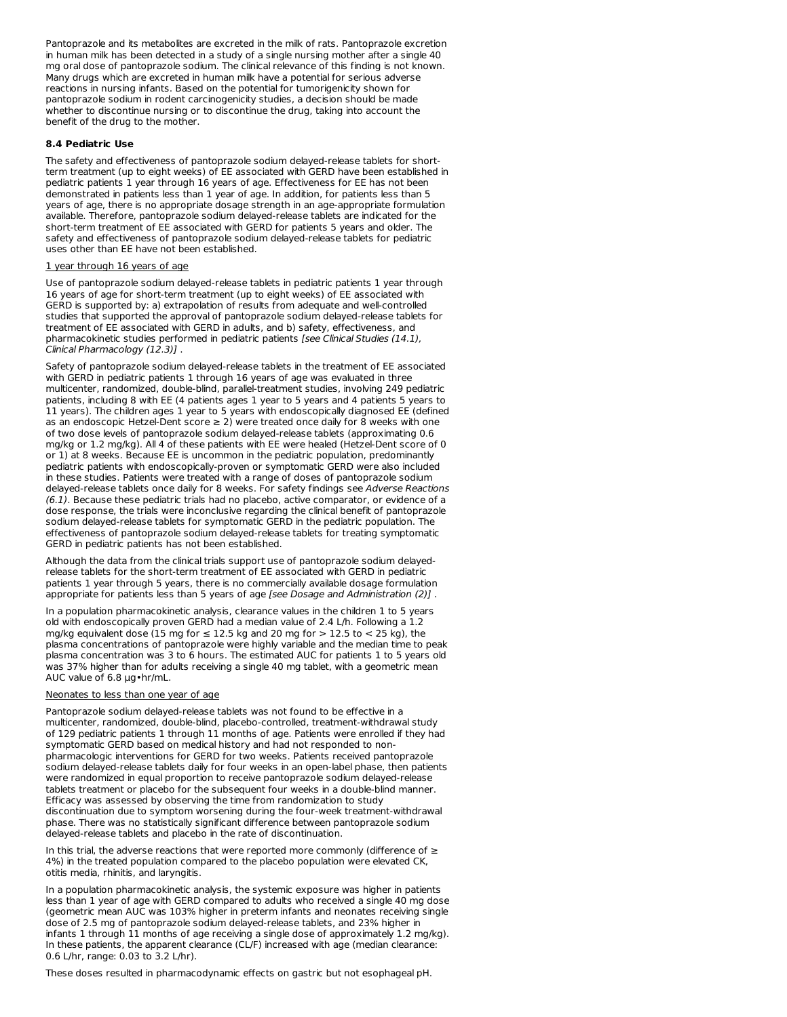Pantoprazole and its metabolites are excreted in the milk of rats. Pantoprazole excretion in human milk has been detected in a study of a single nursing mother after a single 40 mg oral dose of pantoprazole sodium. The clinical relevance of this finding is not known. Many drugs which are excreted in human milk have a potential for serious adverse reactions in nursing infants. Based on the potential for tumorigenicity shown for pantoprazole sodium in rodent carcinogenicity studies, a decision should be made whether to discontinue nursing or to discontinue the drug, taking into account the benefit of the drug to the mother.

#### **8.4 Pediatric Use**

The safety and effectiveness of pantoprazole sodium delayed-release tablets for shortterm treatment (up to eight weeks) of EE associated with GERD have been established in pediatric patients 1 year through 16 years of age. Effectiveness for EE has not been demonstrated in patients less than 1 year of age. In addition, for patients less than 5 years of age, there is no appropriate dosage strength in an age-appropriate formulation available. Therefore, pantoprazole sodium delayed-release tablets are indicated for the short-term treatment of EE associated with GERD for patients 5 years and older. The safety and effectiveness of pantoprazole sodium delayed-release tablets for pediatric uses other than EE have not been established.

#### 1 year through 16 years of age

Use of pantoprazole sodium delayed-release tablets in pediatric patients 1 year through 16 years of age for short-term treatment (up to eight weeks) of EE associated with GERD is supported by: a) extrapolation of results from adequate and well-controlled studies that supported the approval of pantoprazole sodium delayed-release tablets for treatment of EE associated with GERD in adults, and b) safety, effectiveness, and pharmacokinetic studies performed in pediatric patients [see Clinical Studies (14.1), Clinical Pharmacology (12.3)] .

Safety of pantoprazole sodium delayed-release tablets in the treatment of EE associated with GERD in pediatric patients 1 through 16 years of age was evaluated in three multicenter, randomized, double-blind, parallel-treatment studies, involving 249 pediatric patients, including 8 with EE (4 patients ages 1 year to 5 years and 4 patients 5 years to 11 years). The children ages 1 year to 5 years with endoscopically diagnosed EE (defined as an endoscopic Hetzel-Dent score  $\geq 2$ ) were treated once daily for 8 weeks with one of two dose levels of pantoprazole sodium delayed-release tablets (approximating 0.6 mg/kg or 1.2 mg/kg). All 4 of these patients with EE were healed (Hetzel-Dent score of 0 or 1) at 8 weeks. Because EE is uncommon in the pediatric population, predominantly pediatric patients with endoscopically-proven or symptomatic GERD were also included in these studies. Patients were treated with a range of doses of pantoprazole sodium delayed-release tablets once daily for 8 weeks. For safety findings see Adverse Reactions (6.1). Because these pediatric trials had no placebo, active comparator, or evidence of a dose response, the trials were inconclusive regarding the clinical benefit of pantoprazole sodium delayed-release tablets for symptomatic GERD in the pediatric population. The effectiveness of pantoprazole sodium delayed-release tablets for treating symptomatic GERD in pediatric patients has not been established.

Although the data from the clinical trials support use of pantoprazole sodium delayedrelease tablets for the short-term treatment of EE associated with GERD in pediatric patients 1 year through 5 years, there is no commercially available dosage formulation appropriate for patients less than 5 years of age *[see Dosage and Administration (2)]*.

In a population pharmacokinetic analysis, clearance values in the children 1 to 5 years old with endoscopically proven GERD had a median value of 2.4 L/h. Following a 1.2 mg/kg equivalent dose (15 mg for ≤ 12.5 kg and 20 mg for > 12.5 to < 25 kg), the plasma concentrations of pantoprazole were highly variable and the median time to peak plasma concentration was 3 to 6 hours. The estimated AUC for patients 1 to 5 years old was 37% higher than for adults receiving a single 40 mg tablet, with a geometric mean AUC value of 6.8 µg•hr/mL.

#### Neonates to less than one year of age

Pantoprazole sodium delayed-release tablets was not found to be effective in a multicenter, randomized, double-blind, placebo-controlled, treatment-withdrawal study of 129 pediatric patients 1 through 11 months of age. Patients were enrolled if they had symptomatic GERD based on medical history and had not responded to nonpharmacologic interventions for GERD for two weeks. Patients received pantoprazole sodium delayed-release tablets daily for four weeks in an open-label phase, then patients were randomized in equal proportion to receive pantoprazole sodium delayed-release tablets treatment or placebo for the subsequent four weeks in a double-blind manner. Efficacy was assessed by observing the time from randomization to study discontinuation due to symptom worsening during the four-week treatment-withdrawal phase. There was no statistically significant difference between pantoprazole sodium delayed-release tablets and placebo in the rate of discontinuation.

In this trial, the adverse reactions that were reported more commonly (difference of ≥ 4%) in the treated population compared to the placebo population were elevated CK, otitis media, rhinitis, and laryngitis.

In a population pharmacokinetic analysis, the systemic exposure was higher in patients less than 1 year of age with GERD compared to adults who received a single 40 mg dose (geometric mean AUC was 103% higher in preterm infants and neonates receiving single dose of 2.5 mg of pantoprazole sodium delayed-release tablets, and 23% higher in infants 1 through 11 months of age receiving a single dose of approximately 1.2 mg/kg). In these patients, the apparent clearance (CL/F) increased with age (median clearance: 0.6 L/hr, range: 0.03 to 3.2 L/hr).

These doses resulted in pharmacodynamic effects on gastric but not esophageal pH.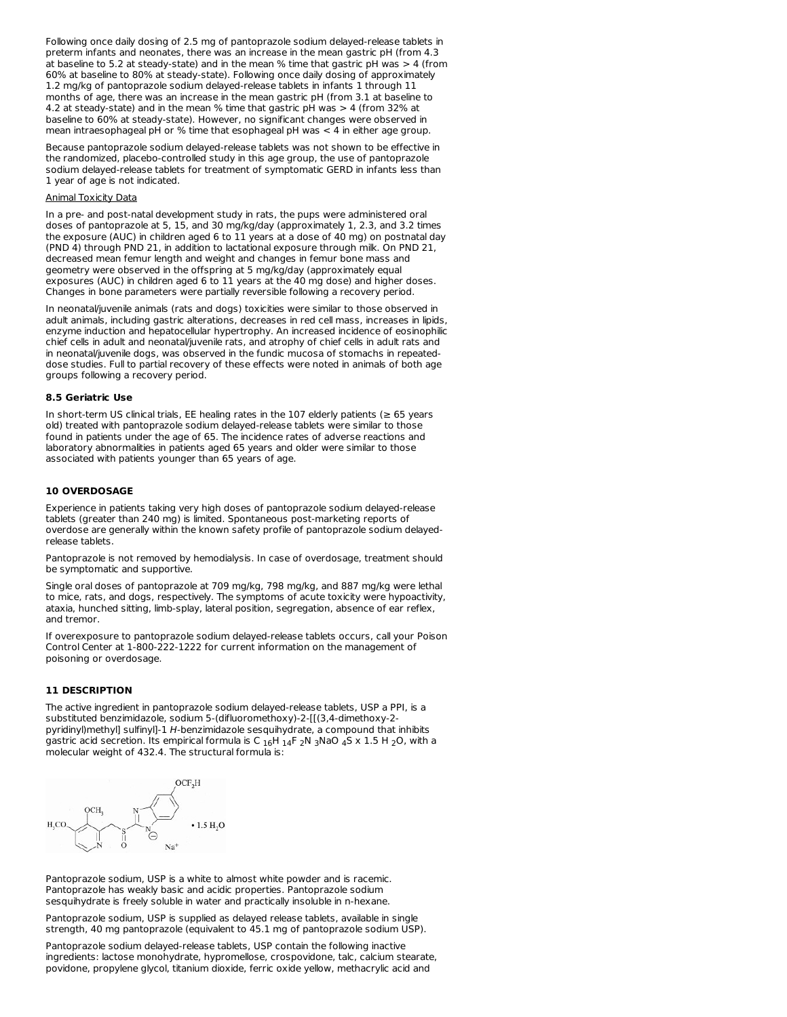Following once daily dosing of 2.5 mg of pantoprazole sodium delayed-release tablets in preterm infants and neonates, there was an increase in the mean gastric pH (from 4.3 at baseline to 5.2 at steady-state) and in the mean % time that gastric pH was > 4 (from 60% at baseline to 80% at steady-state). Following once daily dosing of approximately 1.2 mg/kg of pantoprazole sodium delayed-release tablets in infants 1 through 11 months of age, there was an increase in the mean gastric pH (from 3.1 at baseline to 4.2 at steady-state) and in the mean % time that gastric pH was > 4 (from 32% at baseline to 60% at steady-state). However, no significant changes were observed in mean intraesophageal pH or % time that esophageal pH was < 4 in either age group.

Because pantoprazole sodium delayed-release tablets was not shown to be effective in the randomized, placebo-controlled study in this age group, the use of pantoprazole sodium delayed-release tablets for treatment of symptomatic GERD in infants less than 1 year of age is not indicated.

#### Animal Toxicity Data

In a pre- and post-natal development study in rats, the pups were administered oral doses of pantoprazole at 5, 15, and 30 mg/kg/day (approximately 1, 2.3, and 3.2 times the exposure (AUC) in children aged 6 to 11 years at a dose of 40 mg) on postnatal day (PND 4) through PND 21, in addition to lactational exposure through milk. On PND 21, decreased mean femur length and weight and changes in femur bone mass and geometry were observed in the offspring at 5 mg/kg/day (approximately equal exposures (AUC) in children aged 6 to 11 years at the 40 mg dose) and higher doses. Changes in bone parameters were partially reversible following a recovery period.

In neonatal/juvenile animals (rats and dogs) toxicities were similar to those observed in adult animals, including gastric alterations, decreases in red cell mass, increases in lipids, enzyme induction and hepatocellular hypertrophy. An increased incidence of eosinophilic chief cells in adult and neonatal/juvenile rats, and atrophy of chief cells in adult rats and in neonatal/juvenile dogs, was observed in the fundic mucosa of stomachs in repeateddose studies. Full to partial recovery of these effects were noted in animals of both age groups following a recovery period.

#### **8.5 Geriatric Use**

In short-term US clinical trials, EE healing rates in the 107 elderly patients (≥ 65 years old) treated with pantoprazole sodium delayed-release tablets were similar to those found in patients under the age of 65. The incidence rates of adverse reactions and laboratory abnormalities in patients aged 65 years and older were similar to those associated with patients younger than 65 years of age.

#### **10 OVERDOSAGE**

Experience in patients taking very high doses of pantoprazole sodium delayed-release tablets (greater than 240 mg) is limited. Spontaneous post-marketing reports of overdose are generally within the known safety profile of pantoprazole sodium delayedrelease tablets.

Pantoprazole is not removed by hemodialysis. In case of overdosage, treatment should be symptomatic and supportive.

Single oral doses of pantoprazole at 709 mg/kg, 798 mg/kg, and 887 mg/kg were lethal to mice, rats, and dogs, respectively. The symptoms of acute toxicity were hypoactivity, ataxia, hunched sitting, limb-splay, lateral position, segregation, absence of ear reflex, and tremor.

If overexposure to pantoprazole sodium delayed-release tablets occurs, call your Poison Control Center at 1-800-222-1222 for current information on the management of poisoning or overdosage.

### **11 DESCRIPTION**

The active ingredient in pantoprazole sodium delayed-release tablets, USP a PPI, is a substituted benzimidazole, sodium 5-(difluoromethoxy)-2-[[(3,4-dimethoxy-2 pyridinyl)methyl] sulfinyl]-1 H-benzimidazole sesquihydrate, a compound that inhibits gastric acid secretion. Its empirical formula is C  $_{16}$ H  $_{14}$ F  $_{2}$ N  $_{3}$ NaO  $_{4}$ S x 1.5 H  $_{2}$ O, with a molecular weight of 432.4. The structural formula is:



Pantoprazole sodium, USP is a white to almost white powder and is racemic. Pantoprazole has weakly basic and acidic properties. Pantoprazole sodium sesquihydrate is freely soluble in water and practically insoluble in n-hexane.

Pantoprazole sodium, USP is supplied as delayed release tablets, available in single strength, 40 mg pantoprazole (equivalent to 45.1 mg of pantoprazole sodium USP).

Pantoprazole sodium delayed-release tablets, USP contain the following inactive ingredients: lactose monohydrate, hypromellose, crospovidone, talc, calcium stearate, povidone, propylene glycol, titanium dioxide, ferric oxide yellow, methacrylic acid and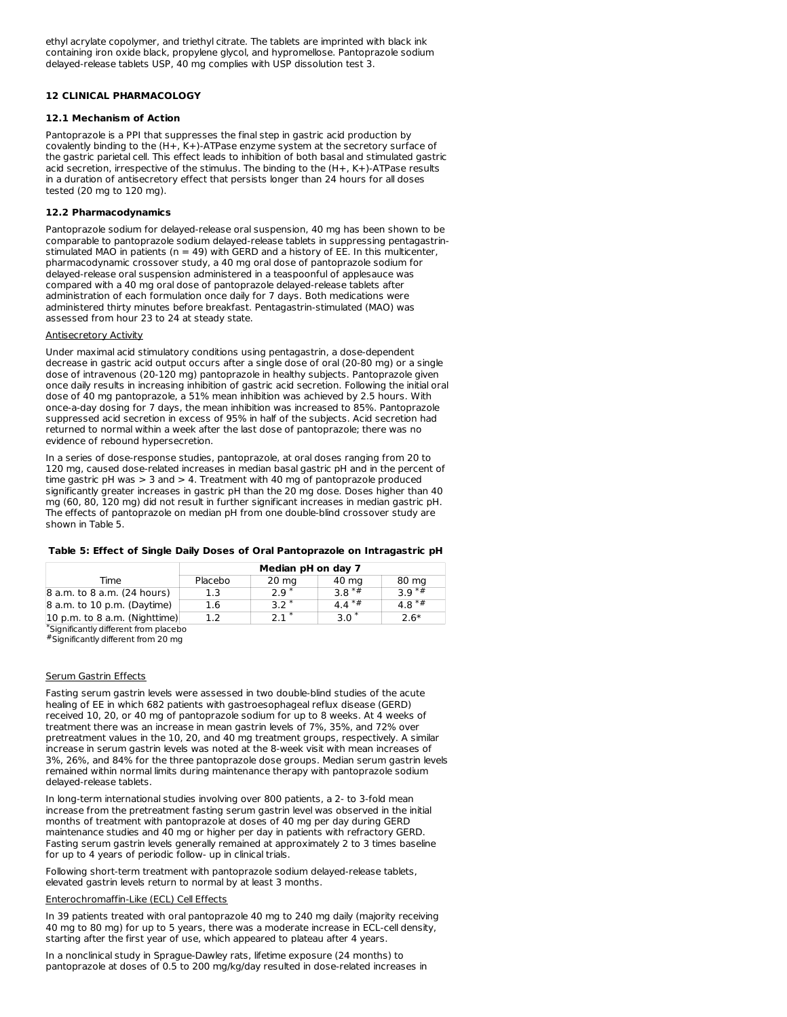ethyl acrylate copolymer, and triethyl citrate. The tablets are imprinted with black ink containing iron oxide black, propylene glycol, and hypromellose. Pantoprazole sodium delayed-release tablets USP, 40 mg complies with USP dissolution test 3.

### **12 CLINICAL PHARMACOLOGY**

### **12.1 Mechanism of Action**

Pantoprazole is a PPI that suppresses the final step in gastric acid production by covalently binding to the (H+, K+)-ATPase enzyme system at the secretory surface of the gastric parietal cell. This effect leads to inhibition of both basal and stimulated gastric acid secretion, irrespective of the stimulus. The binding to the (H+, K+)-ATPase results in a duration of antisecretory effect that persists longer than 24 hours for all doses tested (20 mg to 120 mg).

### **12.2 Pharmacodynamics**

Pantoprazole sodium for delayed-release oral suspension, 40 mg has been shown to be comparable to pantoprazole sodium delayed-release tablets in suppressing pentagastrinstimulated MAO in patients ( $n = 49$ ) with GERD and a history of EE. In this multicenter, pharmacodynamic crossover study, a 40 mg oral dose of pantoprazole sodium for delayed-release oral suspension administered in a teaspoonful of applesauce was compared with a 40 mg oral dose of pantoprazole delayed-release tablets after administration of each formulation once daily for 7 days. Both medications were administered thirty minutes before breakfast. Pentagastrin-stimulated (MAO) was assessed from hour 23 to 24 at steady state.

### Antisecretory Activity

Under maximal acid stimulatory conditions using pentagastrin, a dose-dependent decrease in gastric acid output occurs after a single dose of oral (20-80 mg) or a single dose of intravenous (20-120 mg) pantoprazole in healthy subjects. Pantoprazole given once daily results in increasing inhibition of gastric acid secretion. Following the initial oral dose of 40 mg pantoprazole, a 51% mean inhibition was achieved by 2.5 hours. With once-a-day dosing for 7 days, the mean inhibition was increased to 85%. Pantoprazole suppressed acid secretion in excess of 95% in half of the subjects. Acid secretion had returned to normal within a week after the last dose of pantoprazole; there was no evidence of rebound hypersecretion.

In a series of dose-response studies, pantoprazole, at oral doses ranging from 20 to 120 mg, caused dose-related increases in median basal gastric pH and in the percent of time gastric pH was > 3 and > 4. Treatment with 40 mg of pantoprazole produced significantly greater increases in gastric pH than the 20 mg dose. Doses higher than 40 mg (60, 80, 120 mg) did not result in further significant increases in median gastric pH. The effects of pantoprazole on median pH from one double-blind crossover study are shown in Table 5.

### **Table 5: Effect of Single Daily Doses of Oral Pantoprazole on Intragastric pH**

|                                       | Median pH on day 7 |                 |         |         |
|---------------------------------------|--------------------|-----------------|---------|---------|
| Time                                  | Placebo            | $20 \text{ mg}$ | 40 mg   | 80 mg   |
| 8 a.m. to 8 a.m. (24 hours)           | 1.3                | $2.9*$          | $3.8**$ | $39**$  |
| 8 a.m. to 10 p.m. (Daytime)           | 1.6                | $3.2*$          | $4.4**$ | $4.8**$ |
| 10 p.m. to 8 a.m. (Nighttime)         | 1.2                | $21*$           | $3.0*$  | $2.6*$  |
| *Significantly different from placebo |                    |                 |         |         |

Significantly different from 20 mg #

### Serum Gastrin Effects

Fasting serum gastrin levels were assessed in two double-blind studies of the acute healing of EE in which 682 patients with gastroesophageal reflux disease (GERD) received 10, 20, or 40 mg of pantoprazole sodium for up to 8 weeks. At 4 weeks of treatment there was an increase in mean gastrin levels of 7%, 35%, and 72% over pretreatment values in the 10, 20, and 40 mg treatment groups, respectively. A similar increase in serum gastrin levels was noted at the 8-week visit with mean increases of 3%, 26%, and 84% for the three pantoprazole dose groups. Median serum gastrin levels remained within normal limits during maintenance therapy with pantoprazole sodium delayed-release tablets.

In long-term international studies involving over 800 patients, a 2- to 3-fold mean increase from the pretreatment fasting serum gastrin level was observed in the initial months of treatment with pantoprazole at doses of 40 mg per day during GERD maintenance studies and 40 mg or higher per day in patients with refractory GERD. Fasting serum gastrin levels generally remained at approximately 2 to 3 times baseline for up to 4 years of periodic follow- up in clinical trials.

Following short-term treatment with pantoprazole sodium delayed-release tablets, elevated gastrin levels return to normal by at least 3 months.

### Enterochromaffin-Like (ECL) Cell Effects

In 39 patients treated with oral pantoprazole 40 mg to 240 mg daily (majority receiving 40 mg to 80 mg) for up to 5 years, there was a moderate increase in ECL-cell density, starting after the first year of use, which appeared to plateau after 4 years.

In a nonclinical study in Sprague-Dawley rats, lifetime exposure (24 months) to pantoprazole at doses of 0.5 to 200 mg/kg/day resulted in dose-related increases in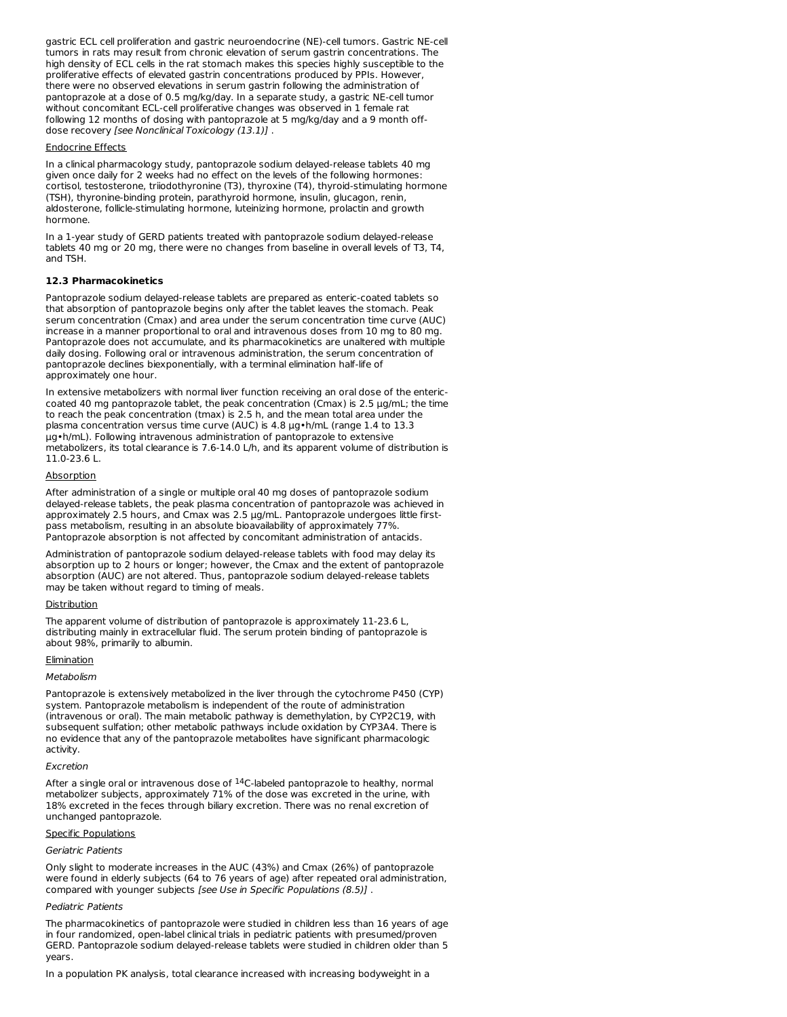gastric ECL cell proliferation and gastric neuroendocrine (NE)-cell tumors. Gastric NE-cell tumors in rats may result from chronic elevation of serum gastrin concentrations. The high density of ECL cells in the rat stomach makes this species highly susceptible to the proliferative effects of elevated gastrin concentrations produced by PPIs. However, there were no observed elevations in serum gastrin following the administration of pantoprazole at a dose of 0.5 mg/kg/day. In a separate study, a gastric NE-cell tumor without concomitant ECL-cell proliferative changes was observed in 1 female rat following 12 months of dosing with pantoprazole at 5 mg/kg/day and a 9 month offdose recovery [see Nonclinical Toxicology (13.1)] .

#### Endocrine Effects

In a clinical pharmacology study, pantoprazole sodium delayed-release tablets 40 mg given once daily for 2 weeks had no effect on the levels of the following hormones: cortisol, testosterone, triiodothyronine (T3), thyroxine (T4), thyroid-stimulating hormone (TSH), thyronine-binding protein, parathyroid hormone, insulin, glucagon, renin, aldosterone, follicle-stimulating hormone, luteinizing hormone, prolactin and growth hormone.

In a 1-year study of GERD patients treated with pantoprazole sodium delayed-release tablets 40 mg or 20 mg, there were no changes from baseline in overall levels of T3, T4, and TSH.

### **12.3 Pharmacokinetics**

Pantoprazole sodium delayed-release tablets are prepared as enteric-coated tablets so that absorption of pantoprazole begins only after the tablet leaves the stomach. Peak serum concentration (Cmax) and area under the serum concentration time curve (AUC) increase in a manner proportional to oral and intravenous doses from 10 mg to 80 mg. Pantoprazole does not accumulate, and its pharmacokinetics are unaltered with multiple daily dosing. Following oral or intravenous administration, the serum concentration of pantoprazole declines biexponentially, with a terminal elimination half-life of approximately one hour.

In extensive metabolizers with normal liver function receiving an oral dose of the entericcoated 40 mg pantoprazole tablet, the peak concentration (Cmax) is 2.5 μg/mL; the time to reach the peak concentration (tmax) is 2.5 h, and the mean total area under the plasma concentration versus time curve (AUC) is 4.8 μg•h/mL (range 1.4 to 13.3 μg•h/mL). Following intravenous administration of pantoprazole to extensive metabolizers, its total clearance is 7.6-14.0 L/h, and its apparent volume of distribution is 11.0-23.6 L.

### Absorption

After administration of a single or multiple oral 40 mg doses of pantoprazole sodium delayed-release tablets, the peak plasma concentration of pantoprazole was achieved in approximately 2.5 hours, and Cmax was 2.5 μg/mL. Pantoprazole undergoes little firstpass metabolism, resulting in an absolute bioavailability of approximately 77%. Pantoprazole absorption is not affected by concomitant administration of antacids.

Administration of pantoprazole sodium delayed-release tablets with food may delay its absorption up to 2 hours or longer; however, the Cmax and the extent of pantoprazole absorption (AUC) are not altered. Thus, pantoprazole sodium delayed-release tablets may be taken without regard to timing of meals.

#### Distribution

The apparent volume of distribution of pantoprazole is approximately 11-23.6 L, distributing mainly in extracellular fluid. The serum protein binding of pantoprazole is about 98%, primarily to albumin.

### **Elimination**

#### **Metabolism**

Pantoprazole is extensively metabolized in the liver through the cytochrome P450 (CYP) system. Pantoprazole metabolism is independent of the route of administration (intravenous or oral). The main metabolic pathway is demethylation, by CYP2C19, with subsequent sulfation; other metabolic pathways include oxidation by CYP3A4. There is no evidence that any of the pantoprazole metabolites have significant pharmacologic activity.

#### Excretion

After a single oral or intravenous dose of  $14$ C-labeled pantoprazole to healthy, normal metabolizer subjects, approximately 71% of the dose was excreted in the urine, with 18% excreted in the feces through biliary excretion. There was no renal excretion of unchanged pantoprazole.

#### Specific Populations

### Geriatric Patients

Only slight to moderate increases in the AUC (43%) and Cmax (26%) of pantoprazole were found in elderly subjects (64 to 76 years of age) after repeated oral administration, compared with younger subjects [see Use in Specific Populations (8.5)] .

### Pediatric Patients

The pharmacokinetics of pantoprazole were studied in children less than 16 years of age in four randomized, open-label clinical trials in pediatric patients with presumed/proven GERD. Pantoprazole sodium delayed-release tablets were studied in children older than 5 years.

In a population PK analysis, total clearance increased with increasing bodyweight in a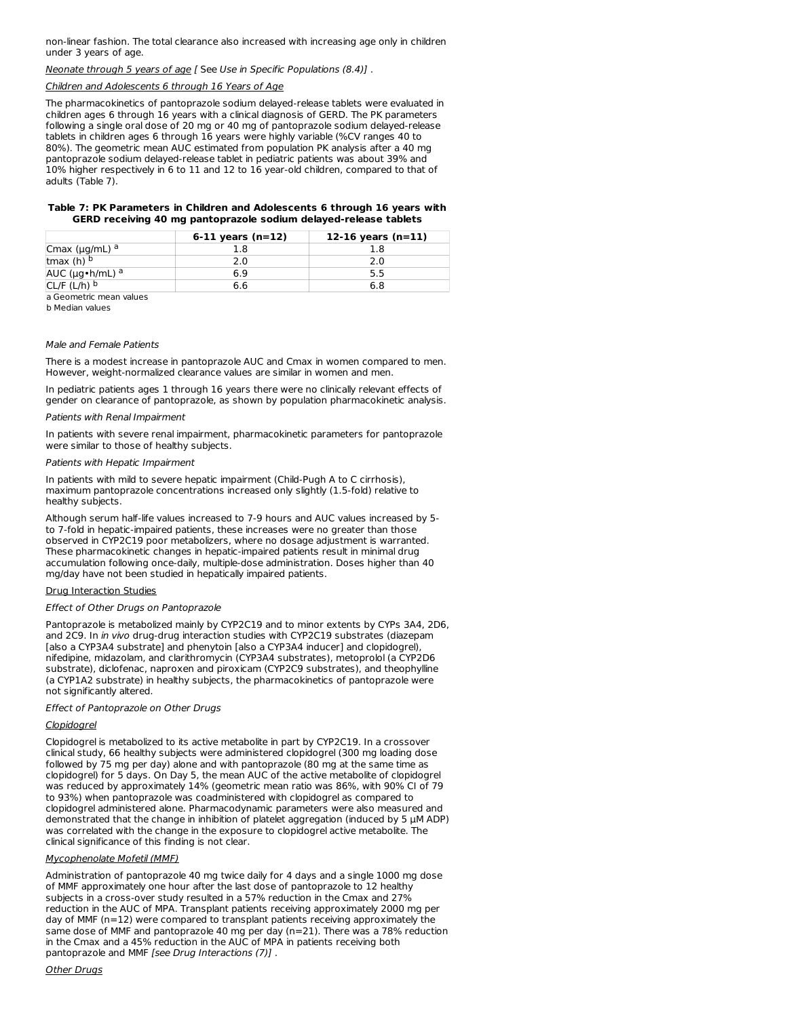non-linear fashion. The total clearance also increased with increasing age only in children under 3 years of age.

### Neonate through 5 years of age [ See Use in Specific Populations (8.4)] .

#### Children and Adolescents 6 through 16 Years of Age

The pharmacokinetics of pantoprazole sodium delayed-release tablets were evaluated in children ages 6 through 16 years with a clinical diagnosis of GERD. The PK parameters following a single oral dose of 20 mg or 40 mg of pantoprazole sodium delayed-release tablets in children ages 6 through 16 years were highly variable (%CV ranges 40 to 80%). The geometric mean AUC estimated from population PK analysis after a 40 mg pantoprazole sodium delayed-release tablet in pediatric patients was about 39% and 10% higher respectively in 6 to 11 and 12 to 16 year-old children, compared to that of adults (Table 7).

#### **Table 7: PK Parameters in Children and Adolescents 6 through 16 years with GERD receiving 40 mg pantoprazole sodium delayed-release tablets**

|                           | 6-11 years $(n=12)$ | 12-16 years $(n=11)$ |
|---------------------------|---------------------|----------------------|
| Cmax ( $\mu$ g/mL) a      |                     |                      |
| tmax (h) $b$              |                     |                      |
| AUC ( $\mu$ g•h/mL) a     | 6.9                 |                      |
| $CL/F (L/h)$ <sup>b</sup> | 6.6                 | 6.8                  |

a Geometric mean values

b Median values

#### Male and Female Patients

There is a modest increase in pantoprazole AUC and Cmax in women compared to men. However, weight-normalized clearance values are similar in women and men.

In pediatric patients ages 1 through 16 years there were no clinically relevant effects of gender on clearance of pantoprazole, as shown by population pharmacokinetic analysis.

### Patients with Renal Impairment

In patients with severe renal impairment, pharmacokinetic parameters for pantoprazole were similar to those of healthy subjects.

#### Patients with Hepatic Impairment

In patients with mild to severe hepatic impairment (Child-Pugh A to C cirrhosis), maximum pantoprazole concentrations increased only slightly (1.5-fold) relative to healthy subjects.

Although serum half-life values increased to 7-9 hours and AUC values increased by 5 to 7-fold in hepatic-impaired patients, these increases were no greater than those observed in CYP2C19 poor metabolizers, where no dosage adjustment is warranted. These pharmacokinetic changes in hepatic-impaired patients result in minimal drug accumulation following once-daily, multiple-dose administration. Doses higher than 40 mg/day have not been studied in hepatically impaired patients.

### Drug Interaction Studies

#### Effect of Other Drugs on Pantoprazole

Pantoprazole is metabolized mainly by CYP2C19 and to minor extents by CYPs 3A4, 2D6, and 2C9. In in vivo drug-drug interaction studies with CYP2C19 substrates (diazepam [also a CYP3A4 substrate] and phenytoin [also a CYP3A4 inducer] and clopidogrel), nifedipine, midazolam, and clarithromycin (CYP3A4 substrates), metoprolol (a CYP2D6 substrate), diclofenac, naproxen and piroxicam (CYP2C9 substrates), and theophylline (a CYP1A2 substrate) in healthy subjects, the pharmacokinetics of pantoprazole were not significantly altered.

Effect of Pantoprazole on Other Drugs

### Clopidogrel

Clopidogrel is metabolized to its active metabolite in part by CYP2C19. In a crossover clinical study, 66 healthy subjects were administered clopidogrel (300 mg loading dose followed by 75 mg per day) alone and with pantoprazole (80 mg at the same time as clopidogrel) for 5 days. On Day 5, the mean AUC of the active metabolite of clopidogrel was reduced by approximately 14% (geometric mean ratio was 86%, with 90% CI of 79 to 93%) when pantoprazole was coadministered with clopidogrel as compared to clopidogrel administered alone. Pharmacodynamic parameters were also measured and demonstrated that the change in inhibition of platelet aggregation (induced by 5 µM ADP) was correlated with the change in the exposure to clopidogrel active metabolite. The clinical significance of this finding is not clear.

### Mycophenolate Mofetil (MMF)

Administration of pantoprazole 40 mg twice daily for 4 days and a single 1000 mg dose of MMF approximately one hour after the last dose of pantoprazole to 12 healthy subjects in a cross-over study resulted in a 57% reduction in the Cmax and 27% reduction in the AUC of MPA. Transplant patients receiving approximately 2000 mg per day of MMF (n=12) were compared to transplant patients receiving approximately the same dose of MMF and pantoprazole 40 mg per day (n=21). There was a 78% reduction in the Cmax and a 45% reduction in the AUC of MPA in patients receiving both pantoprazole and MMF [see Drug Interactions (7)] .

#### Other Drugs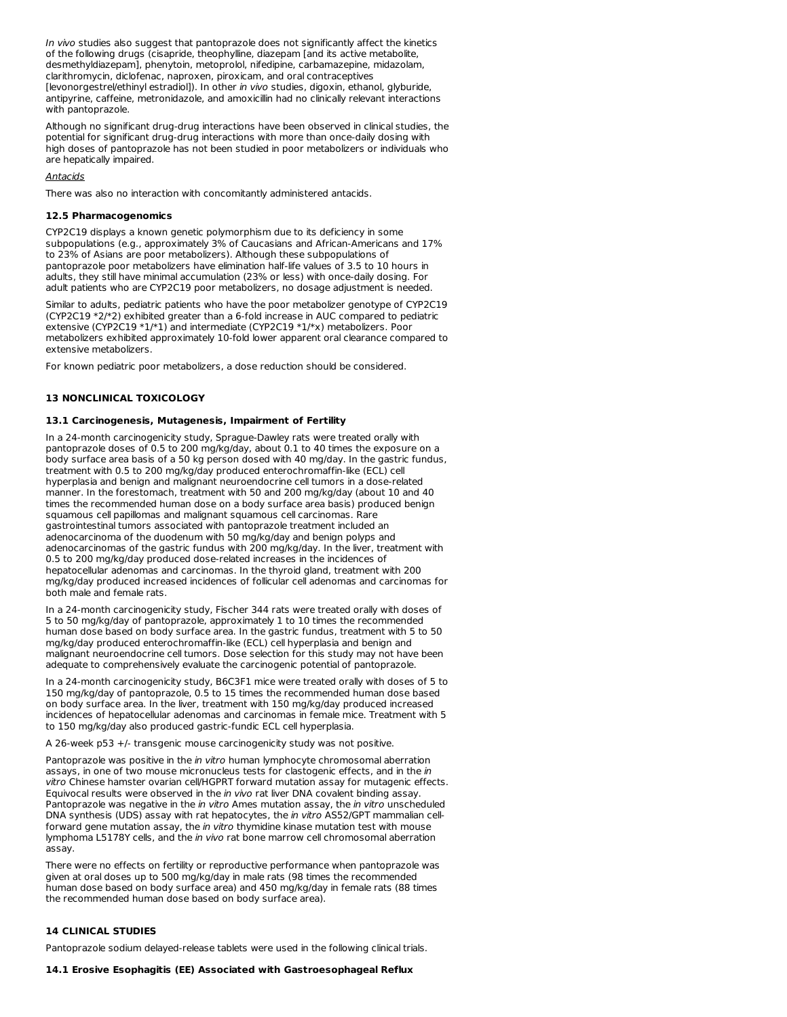In vivo studies also suggest that pantoprazole does not significantly affect the kinetics of the following drugs (cisapride, theophylline, diazepam [and its active metabolite, desmethyldiazepam], phenytoin, metoprolol, nifedipine, carbamazepine, midazolam, clarithromycin, diclofenac, naproxen, piroxicam, and oral contraceptives [levonorgestrel/ethinyl estradiol]). In other in vivo studies, digoxin, ethanol, glyburide, antipyrine, caffeine, metronidazole, and amoxicillin had no clinically relevant interactions with pantoprazole.

Although no significant drug-drug interactions have been observed in clinical studies, the potential for significant drug-drug interactions with more than once-daily dosing with high doses of pantoprazole has not been studied in poor metabolizers or individuals who are hepatically impaired.

#### **Antacids**

There was also no interaction with concomitantly administered antacids.

#### **12.5 Pharmacogenomics**

CYP2C19 displays a known genetic polymorphism due to its deficiency in some subpopulations (e.g., approximately 3% of Caucasians and African-Americans and 17% to 23% of Asians are poor metabolizers). Although these subpopulations of pantoprazole poor metabolizers have elimination half-life values of 3.5 to 10 hours in adults, they still have minimal accumulation (23% or less) with once-daily dosing. For adult patients who are CYP2C19 poor metabolizers, no dosage adjustment is needed.

Similar to adults, pediatric patients who have the poor metabolizer genotype of CYP2C19 (CYP2C19 \*2/\*2) exhibited greater than a 6-fold increase in AUC compared to pediatric extensive (CYP2C19 \*1/\*1) and intermediate (CYP2C19 \*1/\*x) metabolizers. Poor metabolizers exhibited approximately 10-fold lower apparent oral clearance compared to extensive metabolizers.

For known pediatric poor metabolizers, a dose reduction should be considered.

### **13 NONCLINICAL TOXICOLOGY**

#### **13.1 Carcinogenesis, Mutagenesis, Impairment of Fertility**

In a 24-month carcinogenicity study, Sprague-Dawley rats were treated orally with pantoprazole doses of 0.5 to 200 mg/kg/day, about 0.1 to 40 times the exposure on a body surface area basis of a 50 kg person dosed with 40 mg/day. In the gastric fundus, treatment with 0.5 to 200 mg/kg/day produced enterochromaffin-like (ECL) cell hyperplasia and benign and malignant neuroendocrine cell tumors in a dose-related manner. In the forestomach, treatment with 50 and 200 mg/kg/day (about 10 and 40 times the recommended human dose on a body surface area basis) produced benign squamous cell papillomas and malignant squamous cell carcinomas. Rare gastrointestinal tumors associated with pantoprazole treatment included an adenocarcinoma of the duodenum with 50 mg/kg/day and benign polyps and adenocarcinomas of the gastric fundus with 200 mg/kg/day. In the liver, treatment with 0.5 to 200 mg/kg/day produced dose-related increases in the incidences of hepatocellular adenomas and carcinomas. In the thyroid gland, treatment with 200 mg/kg/day produced increased incidences of follicular cell adenomas and carcinomas for both male and female rats.

In a 24-month carcinogenicity study, Fischer 344 rats were treated orally with doses of 5 to 50 mg/kg/day of pantoprazole, approximately 1 to 10 times the recommended human dose based on body surface area. In the gastric fundus, treatment with 5 to 50 mg/kg/day produced enterochromaffin-like (ECL) cell hyperplasia and benign and malignant neuroendocrine cell tumors. Dose selection for this study may not have been adequate to comprehensively evaluate the carcinogenic potential of pantoprazole.

In a 24-month carcinogenicity study, B6C3F1 mice were treated orally with doses of 5 to 150 mg/kg/day of pantoprazole, 0.5 to 15 times the recommended human dose based on body surface area. In the liver, treatment with 150 mg/kg/day produced increased incidences of hepatocellular adenomas and carcinomas in female mice. Treatment with 5 to 150 mg/kg/day also produced gastric-fundic ECL cell hyperplasia.

A 26-week p53 +/- transgenic mouse carcinogenicity study was not positive.

Pantoprazole was positive in the in vitro human lymphocyte chromosomal aberration assays, in one of two mouse micronucleus tests for clastogenic effects, and in the in vitro Chinese hamster ovarian cell/HGPRT forward mutation assay for mutagenic effects. Equivocal results were observed in the in vivo rat liver DNA covalent binding assay. Pantoprazole was negative in the in vitro Ames mutation assay, the in vitro unscheduled DNA synthesis (UDS) assay with rat hepatocytes, the in vitro AS52/GPT mammalian cellforward gene mutation assay, the in vitro thymidine kinase mutation test with mouse lymphoma L5178Y cells, and the in vivo rat bone marrow cell chromosomal aberration assay.

There were no effects on fertility or reproductive performance when pantoprazole was given at oral doses up to 500 mg/kg/day in male rats (98 times the recommended human dose based on body surface area) and 450 mg/kg/day in female rats (88 times the recommended human dose based on body surface area).

### **14 CLINICAL STUDIES**

Pantoprazole sodium delayed-release tablets were used in the following clinical trials.

### **14.1 Erosive Esophagitis (EE) Associated with Gastroesophageal Reflux**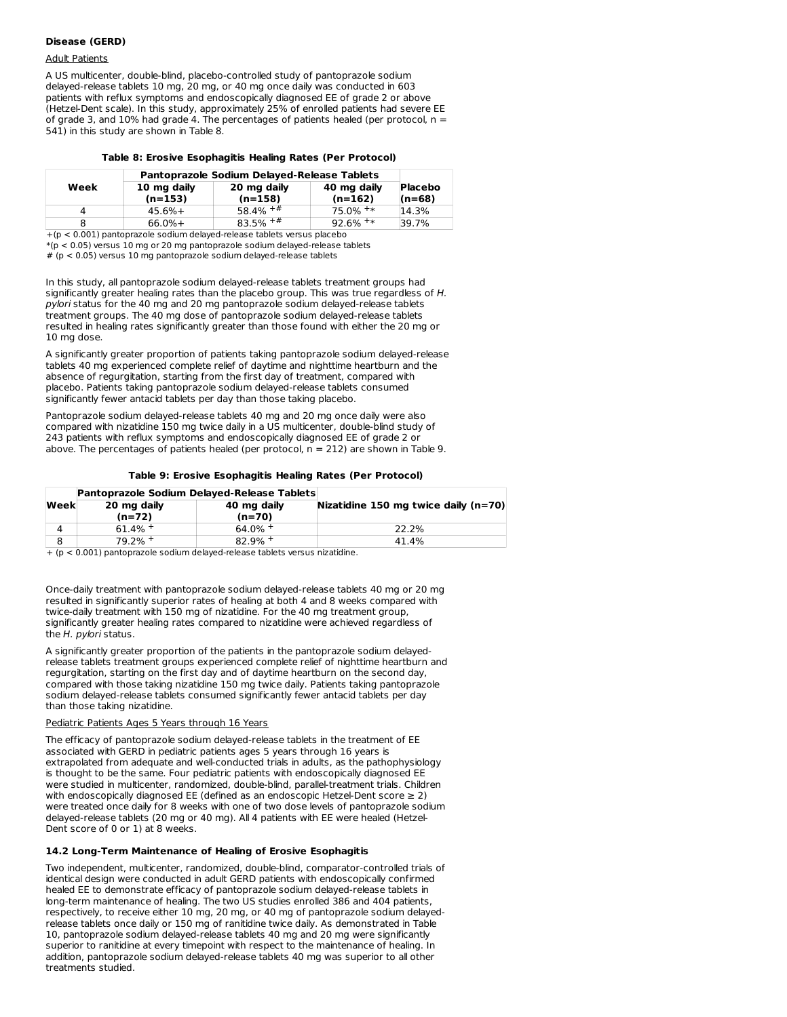### **Disease (GERD)**

### Adult Patients

A US multicenter, double-blind, placebo-controlled study of pantoprazole sodium delayed-release tablets 10 mg, 20 mg, or 40 mg once daily was conducted in 603 patients with reflux symptoms and endoscopically diagnosed EE of grade 2 or above (Hetzel-Dent scale). In this study, approximately 25% of enrolled patients had severe EE of grade 3, and 10% had grade 4. The percentages of patients healed (per protocol, n = 541) in this study are shown in Table 8.

| Table 8: Erosive Esophagitis Healing Rates (Per Protocol) |  |
|-----------------------------------------------------------|--|
|-----------------------------------------------------------|--|

|                                             | Pantoprazole Sodium Delayed-Release Tablets |                          |                          |                     |  |  |
|---------------------------------------------|---------------------------------------------|--------------------------|--------------------------|---------------------|--|--|
| Week                                        | 10 mg daily<br>$(n=153)$                    | 20 mg daily<br>$(n=158)$ | 40 mg daily<br>$(n=162)$ | Placebo<br>$(n=68)$ |  |  |
|                                             | $45.6%+$                                    | $58.4\% + \#$            | $75.0\%$ <sup>+*</sup>   | 14.3%               |  |  |
|                                             | $66.0%+$                                    | $83.5\% + #$             | $92.6\%$ <sup>+*</sup>   | 39.7%               |  |  |
| .<br>.<br>$\overline{\phantom{a}}$<br>----- |                                             |                          |                          |                     |  |  |

+(p < 0.001) pantoprazole sodium delayed-release tablets versus placebo  $*(p < 0.05)$  versus 10 mg or 20 mg pantoprazole sodium delayed-release tablets  $# (p < 0.05)$  versus 10 mg pantoprazole sodium delayed-release tablets

In this study, all pantoprazole sodium delayed-release tablets treatment groups had significantly greater healing rates than the placebo group. This was true regardless of H. pylori status for the 40 mg and 20 mg pantoprazole sodium delayed-release tablets treatment groups. The 40 mg dose of pantoprazole sodium delayed-release tablets resulted in healing rates significantly greater than those found with either the 20 mg or 10 mg dose.

A significantly greater proportion of patients taking pantoprazole sodium delayed-release tablets 40 mg experienced complete relief of daytime and nighttime heartburn and the absence of regurgitation, starting from the first day of treatment, compared with placebo. Patients taking pantoprazole sodium delayed-release tablets consumed significantly fewer antacid tablets per day than those taking placebo.

Pantoprazole sodium delayed-release tablets 40 mg and 20 mg once daily were also compared with nizatidine 150 mg twice daily in a US multicenter, double-blind study of 243 patients with reflux symptoms and endoscopically diagnosed EE of grade 2 or above. The percentages of patients healed (per protocol,  $n = 212$ ) are shown in Table 9.

|      |                         | Pantoprazole Sodium Delayed-Release Tablets |                                        |
|------|-------------------------|---------------------------------------------|----------------------------------------|
| Week | 20 mg daily<br>$(n=72)$ | 40 mg daily<br>$(n=70)$                     | Nizatidine 150 mg twice daily $(n=70)$ |
|      | $61.4\%$ +              | $64.0\%$ +                                  | 22.2%                                  |
|      | 79.2% +                 | $82.9%$ +                                   | 41.4%                                  |

 $+$  ( $p$  < 0.001) pantoprazole sodium delayed-release tablets versus nizatidine.

Once-daily treatment with pantoprazole sodium delayed-release tablets 40 mg or 20 mg resulted in significantly superior rates of healing at both 4 and 8 weeks compared with twice-daily treatment with 150 mg of nizatidine. For the 40 mg treatment group, significantly greater healing rates compared to nizatidine were achieved regardless of the H. pylori status.

A significantly greater proportion of the patients in the pantoprazole sodium delayedrelease tablets treatment groups experienced complete relief of nighttime heartburn and regurgitation, starting on the first day and of daytime heartburn on the second day, compared with those taking nizatidine 150 mg twice daily. Patients taking pantoprazole sodium delayed-release tablets consumed significantly fewer antacid tablets per day than those taking nizatidine.

### Pediatric Patients Ages 5 Years through 16 Years

The efficacy of pantoprazole sodium delayed-release tablets in the treatment of EE associated with GERD in pediatric patients ages 5 years through 16 years is extrapolated from adequate and well-conducted trials in adults, as the pathophysiology is thought to be the same. Four pediatric patients with endoscopically diagnosed EE were studied in multicenter, randomized, double-blind, parallel-treatment trials. Children with endoscopically diagnosed EE (defined as an endoscopic Hetzel-Dent score  $\geq 2$ ) were treated once daily for 8 weeks with one of two dose levels of pantoprazole sodium delayed-release tablets (20 mg or 40 mg). All 4 patients with EE were healed (Hetzel- Dent score of 0 or 1) at 8 weeks.

### **14.2 Long-Term Maintenance of Healing of Erosive Esophagitis**

Two independent, multicenter, randomized, double-blind, comparator-controlled trials of identical design were conducted in adult GERD patients with endoscopically confirmed healed EE to demonstrate efficacy of pantoprazole sodium delayed-release tablets in long-term maintenance of healing. The two US studies enrolled 386 and 404 patients, respectively, to receive either 10 mg, 20 mg, or 40 mg of pantoprazole sodium delayedrelease tablets once daily or 150 mg of ranitidine twice daily. As demonstrated in Table 10, pantoprazole sodium delayed-release tablets 40 mg and 20 mg were significantly superior to ranitidine at every timepoint with respect to the maintenance of healing. In addition, pantoprazole sodium delayed-release tablets 40 mg was superior to all other treatments studied.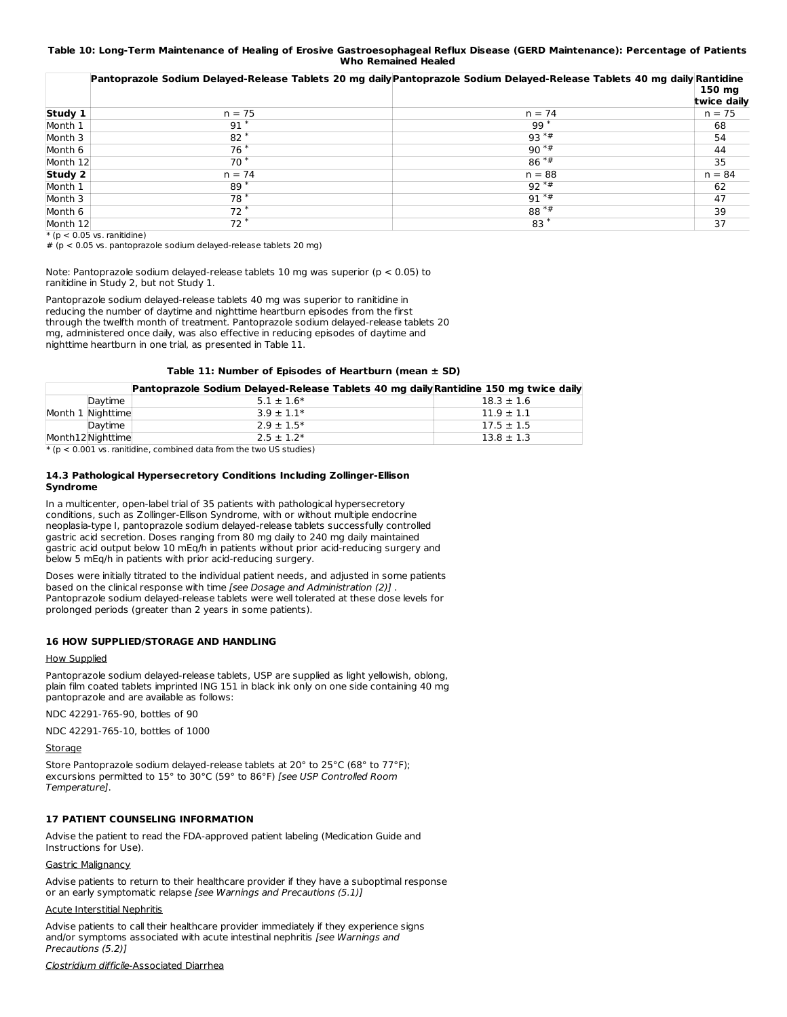### Table 10: Long-Term Maintenance of Healing of Erosive Gastroesophageal Reflux Disease (GERD Maintenance): Percentage of Patients **Who Remained Healed**

|          |          | Pantoprazole Sodium Delayed-Release Tablets 20 mg daily Pantoprazole Sodium Delayed-Release Tablets 40 mg daily Rantidine |             |
|----------|----------|---------------------------------------------------------------------------------------------------------------------------|-------------|
|          |          |                                                                                                                           | 150 mg      |
|          |          |                                                                                                                           | twice daily |
| Study 1  | $n = 75$ | $n = 74$                                                                                                                  | $n = 75$    |
| Month 1  | $91*$    | $99*$                                                                                                                     | 68          |
| Month 3  | $82*$    | $93**$                                                                                                                    | 54          |
| Month 6  | $76*$    | $90**$                                                                                                                    | 44          |
| Month 12 | $70*$    | $86***$                                                                                                                   | 35          |
| Study 2  | $n = 74$ | $n = 88$                                                                                                                  | $n = 84$    |
| Month 1  | $89*$    | $92**$                                                                                                                    | 62          |
| Month 3  | $78*$    | $91**$                                                                                                                    | 47          |
| Month 6  | $72*$    | $88**$                                                                                                                    | 39          |
| Month 12 | $72*$    | $83*$                                                                                                                     | 37          |

 $*(p < 0.05$  vs. ranitidine)

 $# (p < 0.05 \text{ vs. nantcorazole sodium delayed-related tables } 20 \text{ ms})$ 

Note: Pantoprazole sodium delayed-release tablets 10 mg was superior (p < 0.05) to ranitidine in Study 2, but not Study 1.

Pantoprazole sodium delayed-release tablets 40 mg was superior to ranitidine in reducing the number of daytime and nighttime heartburn episodes from the first through the twelfth month of treatment. Pantoprazole sodium delayed-release tablets 20 mg, administered once daily, was also effective in reducing episodes of daytime and nighttime heartburn in one trial, as presented in Table 11.

#### **Table 11: Number of Episodes of Heartburn (mean ± SD)**

|                   | Pantoprazole Sodium Delayed-Release Tablets 40 mg daily Rantidine 150 mg twice daily |                |
|-------------------|--------------------------------------------------------------------------------------|----------------|
| Daytime           | $5.1 \pm 1.6*$                                                                       | $18.3 \pm 1.6$ |
| Month 1 Nighttime | $3.9 \pm 1.1*$                                                                       | $11.9 \pm 1.1$ |
| Daytime           | $2.9 \pm 1.5*$                                                                       | $17.5 \pm 1.5$ |
| Month12Nighttime  | $2.5 \pm 1.2*$                                                                       | $13.8 \pm 1.3$ |

 $*(p < 0.001$  vs. ranitidine, combined data from the two US studies)

#### **14.3 Pathological Hypersecretory Conditions Including Zollinger-Ellison Syndrome**

In a multicenter, open-label trial of 35 patients with pathological hypersecretory conditions, such as Zollinger-Ellison Syndrome, with or without multiple endocrine neoplasia-type I, pantoprazole sodium delayed-release tablets successfully controlled gastric acid secretion. Doses ranging from 80 mg daily to 240 mg daily maintained gastric acid output below 10 mEq/h in patients without prior acid-reducing surgery and below 5 mEq/h in patients with prior acid-reducing surgery.

Doses were initially titrated to the individual patient needs, and adjusted in some patients based on the clinical response with time [see Dosage and Administration (2)]. Pantoprazole sodium delayed-release tablets were well tolerated at these dose levels for prolonged periods (greater than 2 years in some patients).

### **16 HOW SUPPLIED/STORAGE AND HANDLING**

### How Supplied

Pantoprazole sodium delayed-release tablets, USP are supplied as light yellowish, oblong, plain film coated tablets imprinted ING 151 in black ink only on one side containing 40 mg pantoprazole and are available as follows:

NDC 42291-765-90, bottles of 90

NDC 42291-765-10, bottles of 1000

Storage

Store Pantoprazole sodium delayed-release tablets at 20° to 25°C (68° to 77°F); excursions permitted to 15° to 30°C (59° to 86°F) [see USP Controlled Room Temperature].

### **17 PATIENT COUNSELING INFORMATION**

Advise the patient to read the FDA-approved patient labeling (Medication Guide and Instructions for Use).

### Gastric Malignancy

Advise patients to return to their healthcare provider if they have a suboptimal response or an early symptomatic relapse [see Warnings and Precautions (5.1)]

#### Acute Interstitial Nephritis

Advise patients to call their healthcare provider immediately if they experience signs and/or symptoms associated with acute intestinal nephritis [see Warnings and Precautions (5.2)]

Clostridium difficile-Associated Diarrhea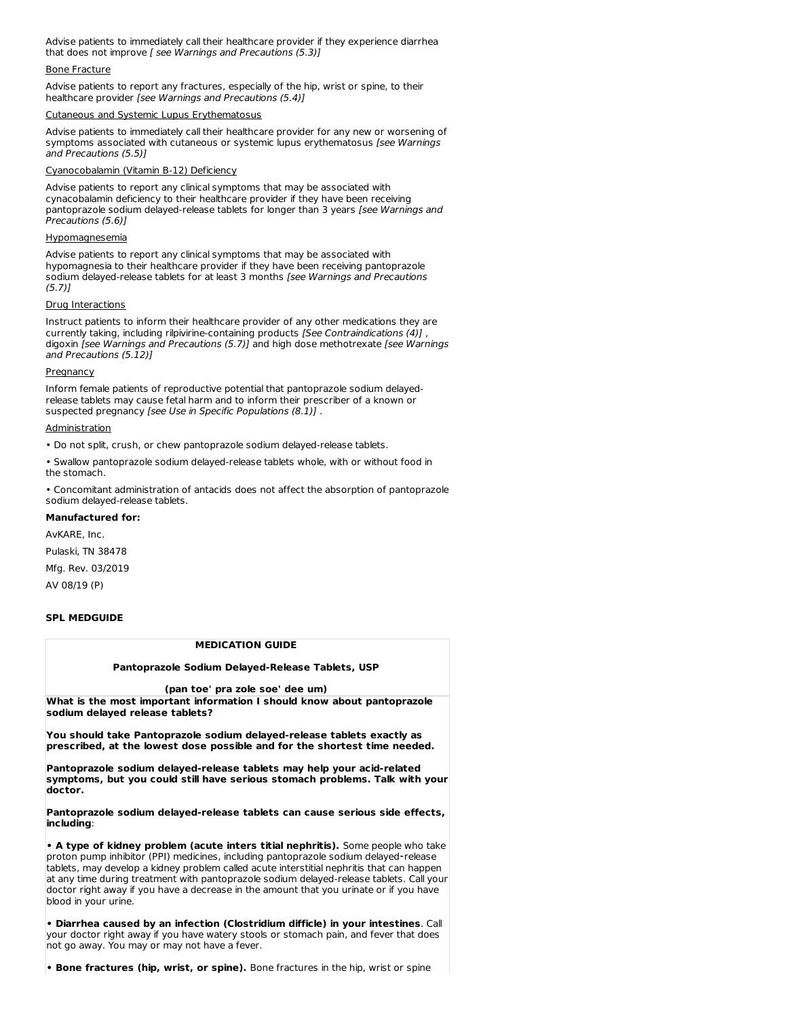Advise patients to immediately call their healthcare provider if they experience diarrhea that does not improve [ see Warnings and Precautions (5.3)]

#### Bone Fracture

Advise patients to report any fractures, especially of the hip, wrist or spine, to their healthcare provider [see Warnings and Precautions (5.4)]

#### Cutaneous and Systemic Lupus Erythemato

Advise patients to immediately call their healthcare provider for any new or worsening of symptoms associated with cutaneous or systemic lupus erythematosus [see Warnings and Precautions (5.5)]

#### Cyanocobalamin (Vitamin B-12) Deficiency

Advise patients to report any clinical symptoms that may be associated with cynacobalamin deficiency to their healthcare provider if they have been receiving pantoprazole sodium delayed-release tablets for longer than 3 years [see Warnings and Precautions (5.6)]

#### Hypomagnesemia

Advise patients to report any clinical symptoms that may be associated with hypomagnesia to their healthcare provider if they have been receiving pantoprazole sodium delayed-release tablets for at least 3 months [see Warnings and Precautions  $(5.7)$ ]

#### Drug Interactions

Instruct patients to inform their healthcare provider of any other medications they are currently taking, including rilpivirine-containing products [See Contraindications (4)] , digoxin [see Warnings and Precautions (5.7)] and high dose methotrexate [see Warnings and Precautions (5.12)]

#### Pregnancy

Inform female patients of reproductive potential that pantoprazole sodium delayedrelease tablets may cause fetal harm and to inform their prescriber of a known or suspected pregnancy [see Use in Specific Populations (8.1)] .

#### **Administration**

• Do not split, crush, or chew pantoprazole sodium delayed-release tablets.

• Swallow pantoprazole sodium delayed-release tablets whole, with or without food in the stomach.

• Concomitant administration of antacids does not affect the absorption of pantoprazole sodium delayed-release tablets.

#### **Manufactured for:**

AvKARE, Inc.

Pulaski, TN 38478

Mfg. Rev. 03/2019

AV 08/19 (P)

### **SPL MEDGUIDE**

#### **MEDICATION GUIDE**

### **Pantoprazole Sodium Delayed-Release Tablets, USP**

#### **(pan toe' pra zole soe' dee um)**

**What is the most important information I should know about pantoprazole sodium delayed release tablets?**

**You should take Pantoprazole sodium delayed-release tablets exactly as prescribed, at the lowest dose possible and for the shortest time needed.**

**Pantoprazole sodium delayed-release tablets may help your acid-related symptoms, but you could still have serious stomach problems. Talk with your doctor.**

**Pantoprazole sodium delayed-release tablets can cause serious side effects, including**:

**• A type of kidney problem (acute inters titial nephritis).** Some people who take proton pump inhibitor (PPI) medicines, including pantoprazole sodium delayed⁃release tablets, may develop a kidney problem called acute interstitial nephritis that can happen at any time during treatment with pantoprazole sodium delayed-release tablets. Call your doctor right away if you have a decrease in the amount that you urinate or if you have blood in your urine.

**• Diarrhea caused by an infection (Clostridium difficle) in your intestines**. Call your doctor right away if you have watery stools or stomach pain, and fever that does not go away. You may or may not have a fever.

**• Bone fractures (hip, wrist, or spine).** Bone fractures in the hip, wrist or spine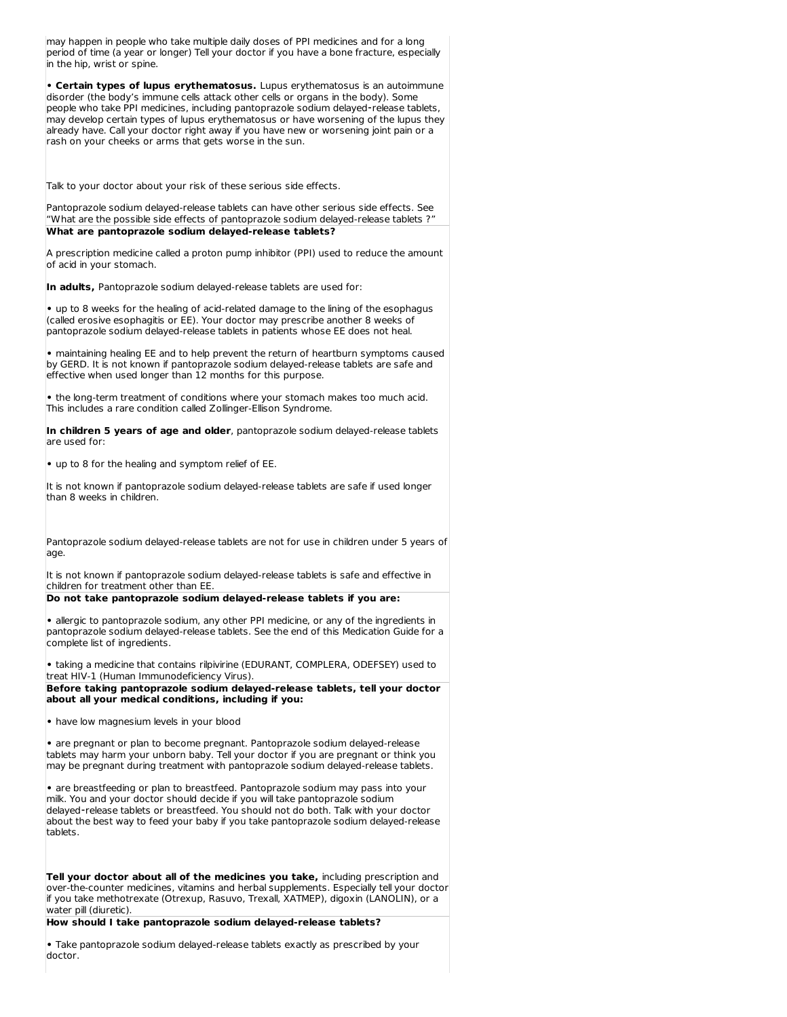may happen in people who take multiple daily doses of PPI medicines and for a long period of time (a year or longer) Tell your doctor if you have a bone fracture, especially in the hip, wrist or spine.

**• Certain types of lupus erythematosus.** Lupus erythematosus is an autoimmune disorder (the body's immune cells attack other cells or organs in the body). Some people who take PPI medicines, including pantoprazole sodium delayed-release tablets, may develop certain types of lupus erythematosus or have worsening of the lupus they already have. Call your doctor right away if you have new or worsening joint pain or a rash on your cheeks or arms that gets worse in the sun.

Talk to your doctor about your risk of these serious side effects.

Pantoprazole sodium delayed-release tablets can have other serious side effects. See "What are the possible side effects of pantoprazole sodium delayed-release tablets ?" **What are pantoprazole sodium delayed-release tablets?**

A prescription medicine called a proton pump inhibitor (PPI) used to reduce the amount of acid in your stomach.

**In adults,** Pantoprazole sodium delayed-release tablets are used for:

**•** up to 8 weeks for the healing of acid-related damage to the lining of the esophagus (called erosive esophagitis or EE). Your doctor may prescribe another 8 weeks of pantoprazole sodium delayed-release tablets in patients whose EE does not heal.

**•** maintaining healing EE and to help prevent the return of heartburn symptoms caused by GERD. It is not known if pantoprazole sodium delayed-release tablets are safe and effective when used longer than 12 months for this purpose.

**•** the long-term treatment of conditions where your stomach makes too much acid. This includes a rare condition called Zollinger-Ellison Syndrome.

**In children 5 years of age and older**, pantoprazole sodium delayed-release tablets are used for:

**•** up to 8 for the healing and symptom relief of EE.

It is not known if pantoprazole sodium delayed-release tablets are safe if used longer than 8 weeks in children.

Pantoprazole sodium delayed-release tablets are not for use in children under 5 years of age.

It is not known if pantoprazole sodium delayed-release tablets is safe and effective in children for treatment other than EE.

### **Do not take pantoprazole sodium delayed-release tablets if you are:**

**•** allergic to pantoprazole sodium, any other PPI medicine, or any of the ingredients in pantoprazole sodium delayed-release tablets. See the end of this Medication Guide for a complete list of ingredients.

**•** taking a medicine that contains rilpivirine (EDURANT, COMPLERA, ODEFSEY) used to treat HIV-1 (Human Immunodeficiency Virus).

**Before taking pantoprazole sodium delayed-release tablets, tell your doctor about all your medical conditions, including if you:**

**•** have low magnesium levels in your blood

**•** are pregnant or plan to become pregnant. Pantoprazole sodium delayed-release tablets may harm your unborn baby. Tell your doctor if you are pregnant or think you may be pregnant during treatment with pantoprazole sodium delayed-release tablets.

**•** are breastfeeding or plan to breastfeed. Pantoprazole sodium may pass into your milk. You and your doctor should decide if you will take pantoprazole sodium delayed-release tablets or breastfeed. You should not do both. Talk with your doctor about the best way to feed your baby if you take pantoprazole sodium delayed-release tablets.

**Tell your doctor about all of the medicines you take,** including prescription and over-the-counter medicines, vitamins and herbal supplements. Especially tell your doctor if you take methotrexate (Otrexup, Rasuvo, Trexall, XATMEP), digoxin (LANOLIN), or a water pill (diuretic).

**How should I take pantoprazole sodium delayed-release tablets?**

**•** Take pantoprazole sodium delayed-release tablets exactly as prescribed by your doctor.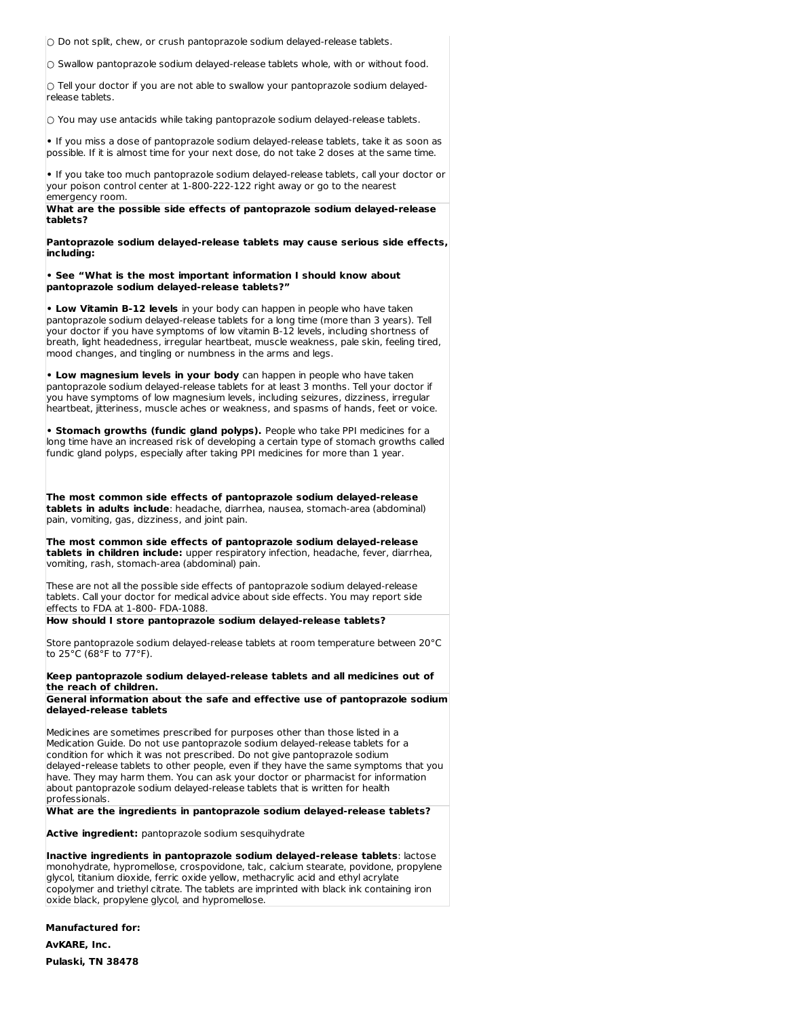**○** Do not split, chew, or crush pantoprazole sodium delayed-release tablets.

**○** Swallow pantoprazole sodium delayed-release tablets whole, with or without food.

**○** Tell your doctor if you are not able to swallow your pantoprazole sodium delayedrelease tablets.

**○** You may use antacids while taking pantoprazole sodium delayed-release tablets.

**•** If you miss a dose of pantoprazole sodium delayed-release tablets, take it as soon as possible. If it is almost time for your next dose, do not take 2 doses at the same time.

**•** If you take too much pantoprazole sodium delayed-release tablets, call your doctor or your poison control center at 1-800-222-122 right away or go to the nearest emergency room.

**What are the possible side effects of pantoprazole sodium delayed-release tablets?**

**Pantoprazole sodium delayed-release tablets may cause serious side effects, including:**

**• See "What is the most important information I should know about pantoprazole sodium delayed-release tablets?"**

**• Low Vitamin B-12 levels** in your body can happen in people who have taken pantoprazole sodium delayed-release tablets for a long time (more than 3 years). Tell your doctor if you have symptoms of low vitamin B-12 levels, including shortness of breath, light headedness, irregular heartbeat, muscle weakness, pale skin, feeling tired, mood changes, and tingling or numbness in the arms and legs.

**• Low magnesium levels in your body** can happen in people who have taken pantoprazole sodium delayed-release tablets for at least 3 months. Tell your doctor if you have symptoms of low magnesium levels, including seizures, dizziness, irregular heartbeat, jitteriness, muscle aches or weakness, and spasms of hands, feet or voice.

**• Stomach growths (fundic gland polyps).** People who take PPI medicines for a long time have an increased risk of developing a certain type of stomach growths called fundic gland polyps, especially after taking PPI medicines for more than 1 year.

**The most common side effects of pantoprazole sodium delayed-release tablets in adults include**: headache, diarrhea, nausea, stomach-area (abdominal) pain, vomiting, gas, dizziness, and joint pain.

**The most common side effects of pantoprazole sodium delayed-release tablets in children include:** upper respiratory infection, headache, fever, diarrhea, vomiting, rash, stomach-area (abdominal) pain.

These are not all the possible side effects of pantoprazole sodium delayed-release tablets. Call your doctor for medical advice about side effects. You may report side effects to FDA at 1-800- FDA-1088.

**How should I store pantoprazole sodium delayed-release tablets?**

Store pantoprazole sodium delayed-release tablets at room temperature between 20°C to 25°C (68°F to 77°F).

**Keep pantoprazole sodium delayed-release tablets and all medicines out of the reach of children.**

**General information about the safe and effective use of pantoprazole sodium delayed-release tablets**

Medicines are sometimes prescribed for purposes other than those listed in a Medication Guide. Do not use pantoprazole sodium delayed-release tablets for a condition for which it was not prescribed. Do not give pantoprazole sodium delayed-release tablets to other people, even if they have the same symptoms that you have. They may harm them. You can ask your doctor or pharmacist for information about pantoprazole sodium delayed-release tablets that is written for health professionals.

**What are the ingredients in pantoprazole sodium delayed-release tablets?**

**Active ingredient:** pantoprazole sodium sesquihydrate

**Inactive ingredients in pantoprazole sodium delayed⁃release tablets**: lactose monohydrate, hypromellose, crospovidone, talc, calcium stearate, povidone, propylene glycol, titanium dioxide, ferric oxide yellow, methacrylic acid and ethyl acrylate copolymer and triethyl citrate. The tablets are imprinted with black ink containing iron oxide black, propylene glycol, and hypromellose.

**Manufactured for: AvKARE, Inc.**

**Pulaski, TN 38478**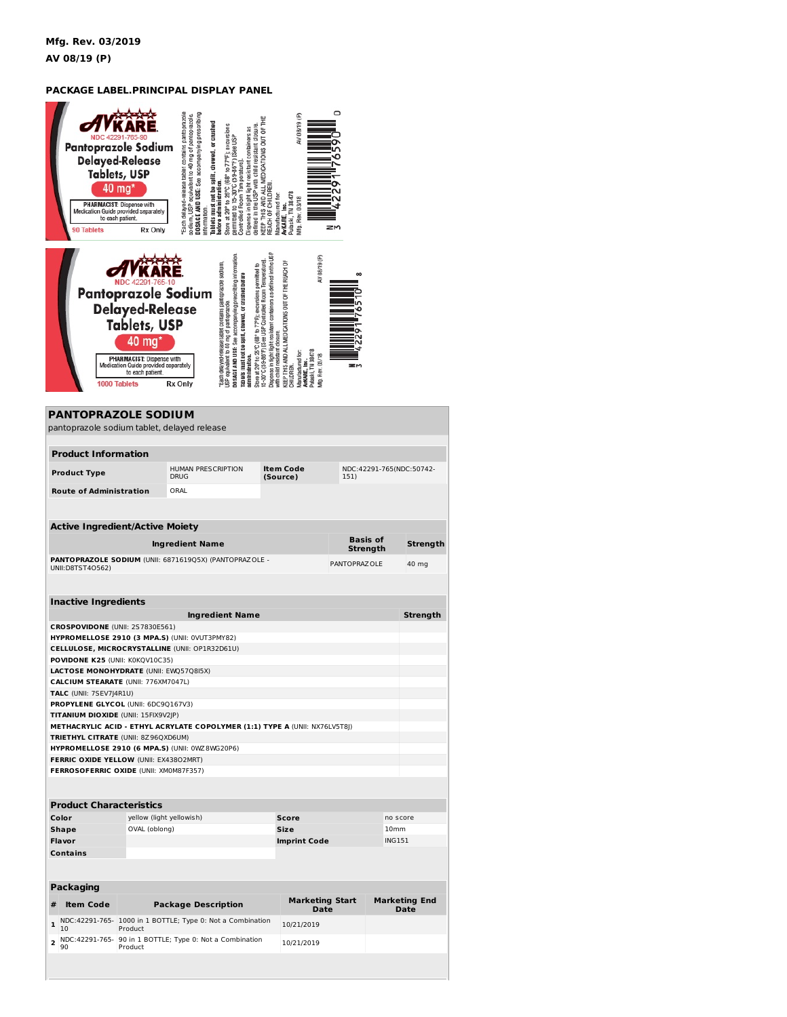## **PACKAGE LABEL.PRINCIPAL DISPLAY PANEL**

| <b>90 Tablets</b>                                                             | Pantoprazole Sodium<br><b>Delayed-Release</b><br><b>Tablets, USP</b><br>40 mg'<br><b>PHARMACIST: Dispense with</b><br>Medication Guide provided separately<br>to each patient.<br>Rx Only       | DOSAGE AND USE: See accompanying prescribing<br>Each delayed-release tablet contains pantoprazole<br>so dium, USP equivalent to 40 mg of pantoprazole.<br>Tablets must not be split, chewed, or crushed<br>Store at 20° to 25°C (68° to 77°F); excursions<br>defined in the USP with child resistant closure<br>Dispense in tight light resistant containers as<br>permitted to 15-30°C (59-86°F) [See USP<br>Controlled Room Temperature]<br>before administration.<br>information. | KEEP THIS AND ALL MEDICATIONS OUT OF THE<br>REACH OF CHILDRE<br>Manufactured for:                                                                               | AV 08/19 (P)<br>Pulaski, TN 38478<br>Wfg. Rev. 03/18<br>AvKARE, Inc.                                                                                            | 0<br>ZM       |                             |                                     |
|-------------------------------------------------------------------------------|-------------------------------------------------------------------------------------------------------------------------------------------------------------------------------------------------|--------------------------------------------------------------------------------------------------------------------------------------------------------------------------------------------------------------------------------------------------------------------------------------------------------------------------------------------------------------------------------------------------------------------------------------------------------------------------------------|-----------------------------------------------------------------------------------------------------------------------------------------------------------------|-----------------------------------------------------------------------------------------------------------------------------------------------------------------|---------------|-----------------------------|-------------------------------------|
| <b>PANTOPRAZOLE SODIUM</b>                                                    | <b>Pantoprazole Sodium</b><br><b>Delayed-Release</b><br><b>Tablets, USP</b><br>$40$ mg<br>PHARMACIST: Dispense with<br>Medication Guide provided separately<br>to each patient.<br>1000 Tablets | DO SAGE A ND USE: See accompanying prescribing information<br>Each delayed-release tablet contains pantoprazole sodium,<br>Store at 20° to 25°C (68° to 77°F); excursions permitted to<br>Tablets must not be split, chewed, or crushed before<br>JSP equivalent to 40 mg of pantoprazole.<br>administration.<br><b>Rx Only</b>                                                                                                                                                      | Dispense in tight light resistant containers as defined in the US I<br>I5-30°C (59-86°F) [See USP Controlled Room Temperature]<br>with child resistant closure. | AV 08/19 (P)<br>GEP THIS AND ALL MEDICATIONS OUT OF THE REACH OF<br>Pulaski, TN 38478<br><b>Vanufactured</b> for<br>Vflg. Rev. 03/18<br>WKARE, Inc.<br>CHILDREN | $\infty$      |                             |                                     |
| pantoprazole sodium tablet, delayed release                                   |                                                                                                                                                                                                 |                                                                                                                                                                                                                                                                                                                                                                                                                                                                                      |                                                                                                                                                                 |                                                                                                                                                                 |               |                             |                                     |
| <b>Product Information</b>                                                    |                                                                                                                                                                                                 |                                                                                                                                                                                                                                                                                                                                                                                                                                                                                      |                                                                                                                                                                 |                                                                                                                                                                 |               |                             |                                     |
| <b>Product Type</b>                                                           |                                                                                                                                                                                                 | HUMAN PRESCRIPTION                                                                                                                                                                                                                                                                                                                                                                                                                                                                   |                                                                                                                                                                 | <b>Item Code</b>                                                                                                                                                |               | NDC:42291-765(NDC:50742-    |                                     |
| <b>Route of Administration</b>                                                |                                                                                                                                                                                                 | <b>DRUG</b><br>ORAL                                                                                                                                                                                                                                                                                                                                                                                                                                                                  |                                                                                                                                                                 | (Source)                                                                                                                                                        | 151)          |                             |                                     |
|                                                                               |                                                                                                                                                                                                 |                                                                                                                                                                                                                                                                                                                                                                                                                                                                                      |                                                                                                                                                                 |                                                                                                                                                                 |               |                             |                                     |
| <b>Active Ingredient/Active Moiety</b>                                        |                                                                                                                                                                                                 | <b>Ingredient Name</b>                                                                                                                                                                                                                                                                                                                                                                                                                                                               |                                                                                                                                                                 |                                                                                                                                                                 |               | <b>Basis of</b><br>Strength | Strength                            |
| UNII: D8TST40562)                                                             |                                                                                                                                                                                                 | PANTOPRAZOLE SODIUM (UNII: 6871619Q5X) (PANTOPRAZOLE -                                                                                                                                                                                                                                                                                                                                                                                                                               |                                                                                                                                                                 |                                                                                                                                                                 | PANTOPRAZ OLE |                             | 40 mg                               |
| <b>Inactive Ingredients</b>                                                   |                                                                                                                                                                                                 | <b>Ingredient Name</b>                                                                                                                                                                                                                                                                                                                                                                                                                                                               |                                                                                                                                                                 |                                                                                                                                                                 |               |                             | Strength                            |
| CROSPOVIDONE (UNII: 2S7830E561)                                               |                                                                                                                                                                                                 |                                                                                                                                                                                                                                                                                                                                                                                                                                                                                      |                                                                                                                                                                 |                                                                                                                                                                 |               |                             |                                     |
|                                                                               |                                                                                                                                                                                                 | HYPROMELLOSE 2910 (3 MPA.S) (UNII: 0VUT3PMY82)<br>CELLULOSE, MICROCRYSTALLINE (UNII: OP1R32D61U)                                                                                                                                                                                                                                                                                                                                                                                     |                                                                                                                                                                 |                                                                                                                                                                 |               |                             |                                     |
| POVIDONE K25 (UNII: K0KQV10C35)                                               |                                                                                                                                                                                                 |                                                                                                                                                                                                                                                                                                                                                                                                                                                                                      |                                                                                                                                                                 |                                                                                                                                                                 |               |                             |                                     |
| LACTOSE MONOHYDRATE (UNII: EWQ57Q8I5X)<br>CALCIUM STEARATE (UNII: 776XM7047L) |                                                                                                                                                                                                 |                                                                                                                                                                                                                                                                                                                                                                                                                                                                                      |                                                                                                                                                                 |                                                                                                                                                                 |               |                             |                                     |
| TALC (UNII: 7SEV7J4R1U)                                                       |                                                                                                                                                                                                 |                                                                                                                                                                                                                                                                                                                                                                                                                                                                                      |                                                                                                                                                                 |                                                                                                                                                                 |               |                             |                                     |
| PROPYLENE GLYCOL (UNII: 6DC9Q167V3)<br>TITANIUM DIOXIDE (UNII: 15FIX9V2JP)    |                                                                                                                                                                                                 |                                                                                                                                                                                                                                                                                                                                                                                                                                                                                      |                                                                                                                                                                 |                                                                                                                                                                 |               |                             |                                     |
|                                                                               |                                                                                                                                                                                                 | METHACRYLIC ACID - ETHYL ACRYLATE COPOLYMER (1:1) TYPE A (UNII: NX76LV5T8))                                                                                                                                                                                                                                                                                                                                                                                                          |                                                                                                                                                                 |                                                                                                                                                                 |               |                             |                                     |
| TRIETHYL CITRATE (UNII: 8Z96QXD6UM)                                           |                                                                                                                                                                                                 |                                                                                                                                                                                                                                                                                                                                                                                                                                                                                      |                                                                                                                                                                 |                                                                                                                                                                 |               |                             |                                     |
| FERRIC OXIDE YELLOW (UNII: EX43802MRT)                                        |                                                                                                                                                                                                 | HYPROMELLOSE 2910 (6 MPA.S) (UNII: 0WZ8WG20P6)                                                                                                                                                                                                                                                                                                                                                                                                                                       |                                                                                                                                                                 |                                                                                                                                                                 |               |                             |                                     |
| FERROSOFERRIC OXIDE (UNII: XM0M87F357)                                        |                                                                                                                                                                                                 |                                                                                                                                                                                                                                                                                                                                                                                                                                                                                      |                                                                                                                                                                 |                                                                                                                                                                 |               |                             |                                     |
|                                                                               |                                                                                                                                                                                                 |                                                                                                                                                                                                                                                                                                                                                                                                                                                                                      |                                                                                                                                                                 |                                                                                                                                                                 |               |                             |                                     |
| <b>Product Characteristics</b>                                                |                                                                                                                                                                                                 |                                                                                                                                                                                                                                                                                                                                                                                                                                                                                      |                                                                                                                                                                 |                                                                                                                                                                 |               |                             |                                     |
| Color                                                                         | yellow (light yellowish)                                                                                                                                                                        |                                                                                                                                                                                                                                                                                                                                                                                                                                                                                      |                                                                                                                                                                 | Score                                                                                                                                                           |               | no score                    |                                     |
| <b>Shape</b>                                                                  | OVAL (oblong)                                                                                                                                                                                   |                                                                                                                                                                                                                                                                                                                                                                                                                                                                                      |                                                                                                                                                                 | Size                                                                                                                                                            |               | 10mm                        |                                     |
| Flavor<br><b>Contains</b>                                                     |                                                                                                                                                                                                 |                                                                                                                                                                                                                                                                                                                                                                                                                                                                                      |                                                                                                                                                                 | <b>Imprint Code</b>                                                                                                                                             |               | <b>ING151</b>               |                                     |
|                                                                               |                                                                                                                                                                                                 |                                                                                                                                                                                                                                                                                                                                                                                                                                                                                      |                                                                                                                                                                 |                                                                                                                                                                 |               |                             |                                     |
| <b>Packaging</b><br>#<br><b>Item Code</b>                                     |                                                                                                                                                                                                 | <b>Package Description</b>                                                                                                                                                                                                                                                                                                                                                                                                                                                           |                                                                                                                                                                 | <b>Marketing Start</b><br><b>Date</b>                                                                                                                           |               |                             | <b>Marketing End</b><br><b>Date</b> |

**2** NDC:42291-765- 90 in 1 BOTTLE; Type 0: Not a Combination 10/21/2019